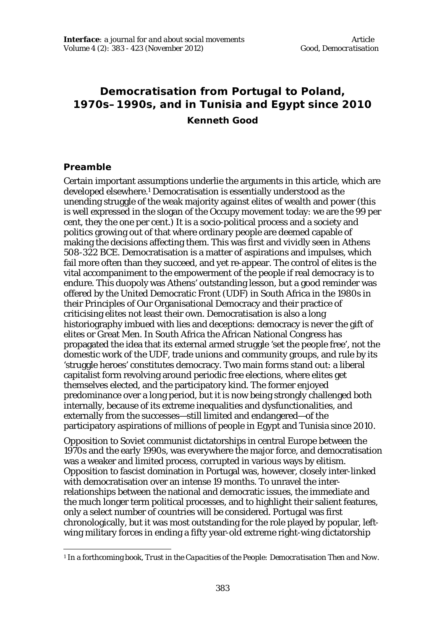# **Democratisation from Portugal to Poland, 1970s–1990s, and in Tunisia and Egypt since 2010**

## **Kenneth Good**

#### **Preamble**

Certain important assumptions underlie the arguments in this article, which are developed elsewhere.<sup>1</sup> Democratisation is essentially understood as the unending struggle of the weak majority against elites of wealth and power (this is well expressed in the slogan of the Occupy movement today: we are the 99 per cent, they the one per cent.) It is a socio-political process and a society and politics growing out of that where ordinary people are deemed capable of making the decisions affecting them. This was first and vividly seen in Athens 508-322 BCE. Democratisation is a matter of aspirations and impulses, which fail more often than they succeed, and yet re-appear. The control of elites is the vital accompaniment to the empowerment of the people if real democracy is to endure. This duopoly was Athens' outstanding lesson, but a good reminder was offered by the United Democratic Front (UDF) in South Africa in the 1980s in their Principles of Our Organisational Democracy and their practice of criticising elites not least their own. Democratisation is also a long historiography imbued with lies and deceptions: democracy is never the gift of elites or Great Men. In South Africa the African National Congress has propagated the idea that its external armed struggle 'set the people free', not the domestic work of the UDF, trade unions and community groups, and rule by its 'struggle heroes' constitutes democracy. Two main forms stand out: a liberal capitalist form revolving around periodic free elections, where elites get themselves elected, and the participatory kind. The former enjoyed predominance over a long period, but it is now being strongly challenged both internally, because of its extreme inequalities and dysfunctionalities, and externally from the successes—still limited and endangered—of the participatory aspirations of millions of people in Egypt and Tunisia since 2010.

Opposition to Soviet communist dictatorships in central Europe between the 1970s and the early 1990s, was everywhere the major force, and democratisation was a weaker and limited process, corrupted in various ways by elitism. Opposition to fascist domination in Portugal was, however, closely inter-linked with democratisation over an intense 19 months. To unravel the interrelationships between the national and democratic issues, the immediate and the much longer term political processes, and to highlight their salient features, only a select number of countries will be considered. Portugal was first chronologically, but it was most outstanding for the role played by popular, leftwing military forces in ending a fifty year-old extreme right-wing dictatorship

 $\overline{a}$ <sup>1</sup> In a forthcoming book, *Trust in the Capacities of the People: Democratisation Then and Now*.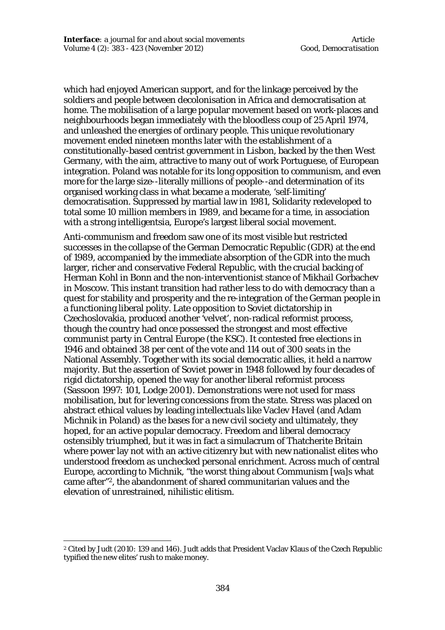which had enjoyed American support, and for the linkage perceived by the soldiers and people between decolonisation in Africa and democratisation at home. The mobilisation of a large popular movement based on work-places and neighbourhoods began immediately with the bloodless coup of 25 April 1974, and unleashed the energies of ordinary people. This unique revolutionary movement ended nineteen months later with the establishment of a constitutionally-based centrist government in Lisbon, backed by the then West Germany, with the aim, attractive to many out of work Portuguese, of European integration. Poland was notable for its long opposition to communism, and even more for the large size--literally millions of people--and determination of its organised working class in what became a moderate, 'self-limiting' democratisation. Suppressed by martial law in 1981, Solidarity redeveloped to total some 10 million members in 1989, and became for a time, in association with a strong intelligentsia, Europe's largest liberal social movement.

Anti-communism and freedom saw one of its most visible but restricted successes in the collapse of the German Democratic Republic (GDR) at the end of 1989, accompanied by the immediate absorption of the GDR into the much larger, richer and conservative Federal Republic, with the crucial backing of Herman Kohl in Bonn and the non-interventionist stance of Mikhail Gorbachev in Moscow. This instant transition had rather less to do with democracy than a quest for stability and prosperity and the re-integration of the German people in a functioning liberal polity. Late opposition to Soviet dictatorship in Czechoslovakia, produced another 'velvet', non-radical reformist process, though the country had once possessed the strongest and most effective communist party in Central Europe (the KSC). It contested free elections in 1946 and obtained 38 per cent of the vote and 114 out of 300 seats in the National Assembly. Together with its social democratic allies, it held a narrow majority. But the assertion of Soviet power in 1948 followed by four decades of rigid dictatorship, opened the way for another liberal reformist process (Sassoon 1997: 101, Lodge 2001). Demonstrations were not used for mass mobilisation, but for levering concessions from the state. Stress was placed on abstract ethical values by leading intellectuals like Vaclev Havel (and Adam Michnik in Poland) as the bases for a new civil society and ultimately, they hoped, for an active popular democracy. Freedom and liberal democracy ostensibly triumphed, but it was in fact a simulacrum of Thatcherite Britain where power lay not with an active citizenry but with new nationalist elites who understood freedom as unchecked personal enrichment. Across much of central Europe, according to Michnik, "the worst thing about Communism [wa]s what came after"2, the abandonment of shared communitarian values and the elevation of unrestrained, nihilistic elitism.

 $\overline{a}$ <sup>2</sup> Cited by Judt (2010: 139 and 146). Judt adds that President Vaclav Klaus of the Czech Republic typified the new elites' rush to make money.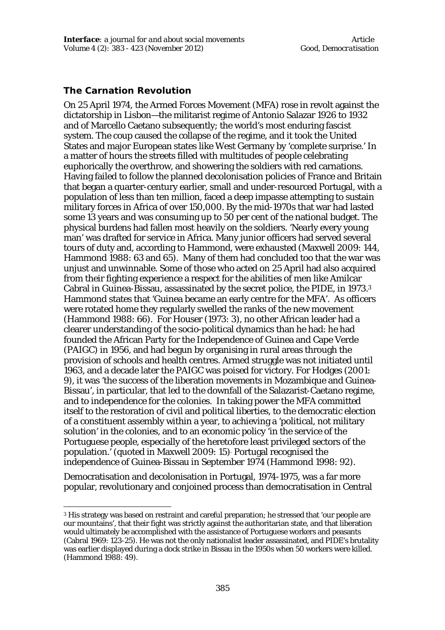## **The Carnation Revolution**

On 25 April 1974, the Armed Forces Movement (MFA) rose in revolt against the dictatorship in Lisbon—the militarist regime of Antonio Salazar 1926 to 1932 and of Marcello Caetano subsequently; the world's most enduring fascist system. The coup caused the collapse of the regime, and it took the United States and major European states like West Germany by 'complete surprise.' In a matter of hours the streets filled with multitudes of people celebrating euphorically the overthrow, and showering the soldiers with red carnations. Having failed to follow the planned decolonisation policies of France and Britain that began a quarter-century earlier, small and under-resourced Portugal, with a population of less than ten million, faced a deep impasse attempting to sustain military forces in Africa of over 150,000. By the mid-1970s that war had lasted some 13 years and was consuming up to 50 per cent of the national budget. The physical burdens had fallen most heavily on the soldiers. 'Nearly every young man' was drafted for service in Africa. Many junior officers had served several tours of duty and, according to Hammond, were exhausted (Maxwell 2009: 144, Hammond 1988: 63 and 65). Many of them had concluded too that the war was unjust and unwinnable. Some of those who acted on 25 April had also acquired from their fighting experience a respect for the abilities of men like Amilcar Cabral in Guinea-Bissau, assassinated by the secret police, the PIDE, in 1973.<sup>3</sup> Hammond states that 'Guinea became an early centre for the MFA'. As officers were rotated home they regularly swelled the ranks of the new movement (Hammond 1988: 66). For Houser (1973: 3), no other African leader had a clearer understanding of the socio-political dynamics than he had: he had founded the African Party for the Independence of Guinea and Cape Verde (PAIGC) in 1956, and had begun by organising in rural areas through the provision of schools and health centres. Armed struggle was not initiated until 1963, and a decade later the PAIGC was poised for victory. For Hodges (2001: 9), it was 'the success of the liberation movements in Mozambique and Guinea-Bissau', in particular, that led to the downfall of the Salazarist-Caetano regime, and to independence for the colonies. In taking power the MFA committed itself to the restoration of civil and political liberties, to the democratic election of a constituent assembly within a year, to achieving a 'political, not military solution' in the colonies, and to an economic policy 'in the service of the Portuguese people, especially of the heretofore least privileged sectors of the population.' (quoted in Maxwell 2009: 15). Portugal recognised the independence of Guinea-Bissau in September 1974 (Hammond 1998: 92).

Democratisation and decolonisation in Portugal, 1974-1975, was a far more popular, revolutionary and conjoined process than democratisation in Central

 $\overline{a}$ <sup>3</sup> His strategy was based on restraint and careful preparation; he stressed that 'our people are our mountains', that their fight was strictly against the authoritarian state, and that liberation would ultimately be accomplished with the assistance of Portuguese workers and peasants (Cabral 1969: 123-25). He was not the only nationalist leader assassinated, and PIDE's brutality was earlier displayed during a dock strike in Bissau in the 1950s when 50 workers were killed. (Hammond 1988: 49).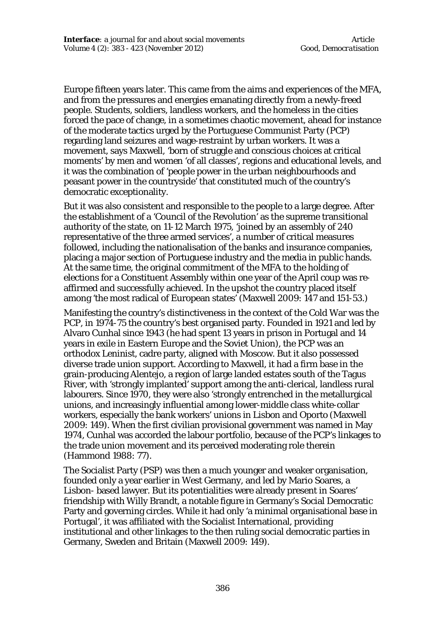Europe fifteen years later. This came from the aims and experiences of the MFA, and from the pressures and energies emanating directly from a newly-freed people. Students, soldiers, landless workers, and the homeless in the cities forced the pace of change, in a sometimes chaotic movement, ahead for instance of the moderate tactics urged by the Portuguese Communist Party (PCP) regarding land seizures and wage-restraint by urban workers. It was a movement, says Maxwell, 'born of struggle and conscious choices at critical moments' by men and women 'of all classes', regions and educational levels, and it was the combination of 'people power in the urban neighbourhoods and peasant power in the countryside' that constituted much of the country's democratic exceptionality.

But it was also consistent and responsible to the people to a large degree. After the establishment of a 'Council of the Revolution' as the supreme transitional authority of the state, on 11-12 March 1975, 'joined by an assembly of 240 representative of the three armed services', a number of critical measures followed, including the nationalisation of the banks and insurance companies, placing a major section of Portuguese industry and the media in public hands. At the same time, the original commitment of the MFA to the holding of elections for a Constituent Assembly within one year of the April coup was reaffirmed and successfully achieved. In the upshot the country placed itself among 'the most radical of European states' (Maxwell 2009: 147 and 151-53.)

Manifesting the country's distinctiveness in the context of the Cold War was the PCP, in 1974-75 the country's best organised party. Founded in 1921 and led by Alvaro Cunhal since 1943 (he had spent 13 years in prison in Portugal and 14 years in exile in Eastern Europe and the Soviet Union), the PCP was an orthodox Leninist, cadre party, aligned with Moscow. But it also possessed diverse trade union support. According to Maxwell, it had a firm base in the grain-producing Alentejo, a region of large landed estates south of the Tagus River, with 'strongly implanted' support among the anti-clerical, landless rural labourers. Since 1970, they were also 'strongly entrenched in the metallurgical unions, and increasingly influential among lower-middle class white-collar workers, especially the bank workers' unions in Lisbon and Oporto (Maxwell 2009: 149). When the first civilian provisional government was named in May 1974, Cunhal was accorded the labour portfolio, because of the PCP's linkages to the trade union movement and its perceived moderating role therein (Hammond 1988: 77).

The Socialist Party (PSP) was then a much younger and weaker organisation, founded only a year earlier in West Germany, and led by Mario Soares, a Lisbon- based lawyer. But its potentialities were already present in Soares' friendship with Willy Brandt, a notable figure in Germany's Social Democratic Party and governing circles. While it had only 'a minimal organisational base in Portugal', it was affiliated with the Socialist International, providing institutional and other linkages to the then ruling social democratic parties in Germany, Sweden and Britain (Maxwell 2009: 149).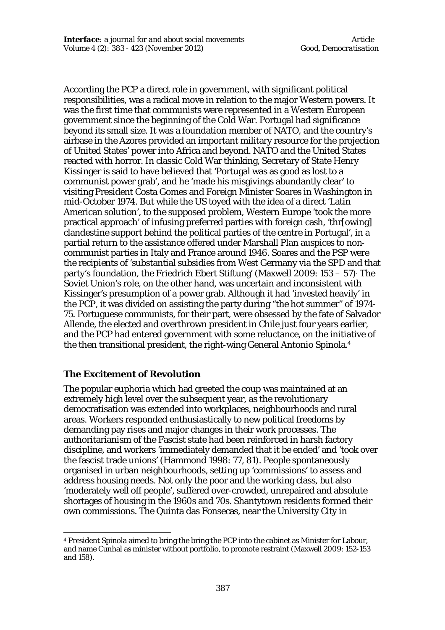According the PCP a direct role in government, with significant political responsibilities, was a radical move in relation to the major Western powers. It was the first time that communists were represented in a Western European government since the beginning of the Cold War. Portugal had significance beyond its small size. It was a foundation member of NATO, and the country's airbase in the Azores provided an important military resource for the projection of United States' power into Africa and beyond. NATO and the United States reacted with horror. In classic Cold War thinking, Secretary of State Henry Kissinger is said to have believed that 'Portugal was as good as lost to a communist power grab', and he 'made his misgivings abundantly clear' to visiting President Costa Gomes and Foreign Minister Soares in Washington in mid-October 1974. But while the US toyed with the idea of a direct 'Latin American solution', to the supposed problem, Western Europe 'took the more practical approach' of infusing preferred parties with foreign cash, 'thr[owing] clandestine support behind the political parties of the centre in Portugal', in a partial return to the assistance offered under Marshall Plan auspices to noncommunist parties in Italy and France around 1946. Soares and the PSP were the recipients of 'substantial subsidies from West Germany via the SPD and that party's foundation, the Friedrich Ebert Stiftung' (Maxwell 2009: 153 – 57). The Soviet Union's role, on the other hand, was uncertain and inconsistent with Kissinger's presumption of a power grab. Although it had 'invested heavily' in the PCP, it was divided on assisting the party during "the hot summer" of 1974- 75. Portuguese communists, for their part, were obsessed by the fate of Salvador Allende, the elected and overthrown president in Chile just four years earlier, and the PCP had entered government with some reluctance, on the initiative of the then transitional president, the right-wing General Antonio Spinola.<sup>4</sup>

# **The Excitement of Revolution**

The popular euphoria which had greeted the coup was maintained at an extremely high level over the subsequent year, as the revolutionary democratisation was extended into workplaces, neighbourhoods and rural areas. Workers responded enthusiastically to new political freedoms by demanding pay rises and major changes in their work processes. The authoritarianism of the Fascist state had been reinforced in harsh factory discipline, and workers 'immediately demanded that it be ended' and 'took over the fascist trade unions' (Hammond 1998: 77, 81). People spontaneously organised in urban neighbourhoods, setting up 'commissions' to assess and address housing needs. Not only the poor and the working class, but also 'moderately well off people', suffered over-crowded, unrepaired and absolute shortages of housing in the 1960s and 70s. Shantytown residents formed their own commissions. The Quinta das Fonsecas, near the University City in

<sup>1</sup> <sup>4</sup> President Spinola aimed to bring the bring the PCP into the cabinet as Minister for Labour, and name Cunhal as minister without portfolio, to promote restraint (Maxwell 2009: 152-153 and 158).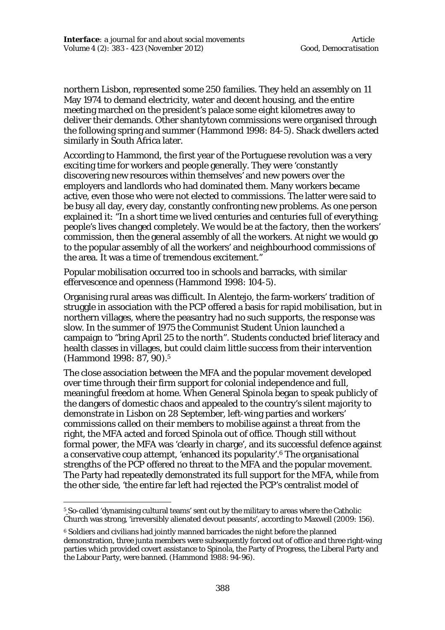northern Lisbon, represented some 250 families. They held an assembly on 11 May 1974 to demand electricity, water and decent housing, and the entire meeting marched on the president's palace some eight kilometres away to deliver their demands. Other shantytown commissions were organised through the following spring and summer (Hammond 1998: 84-5). Shack dwellers acted similarly in South Africa later.

According to Hammond, the first year of the Portuguese revolution was a very exciting time for workers and people generally. They were 'constantly discovering new resources within themselves' and new powers over the employers and landlords who had dominated them. Many workers became active, even those who were not elected to commissions. The latter were said to be busy all day, every day, constantly confronting new problems. As one person explained it: "In a short time we lived centuries and centuries full of everything; people's lives changed completely. We would be at the factory, then the workers' commission, then the general assembly of all the workers. At night we would go to the popular assembly of all the workers' and neighbourhood commissions of the area. It was a time of tremendous excitement."

Popular mobilisation occurred too in schools and barracks, with similar effervescence and openness (Hammond 1998: 104-5).

Organising rural areas was difficult. In Alentejo, the farm-workers' tradition of struggle in association with the PCP offered a basis for rapid mobilisation, but in northern villages, where the peasantry had no such supports, the response was slow. In the summer of 1975 the Communist Student Union launched a campaign to "bring April 25 to the north". Students conducted brief literacy and health classes in villages, but could claim little success from their intervention (Hammond 1998: 87, 90). 5

The close association between the MFA and the popular movement developed over time through their firm support for colonial independence and full, meaningful freedom at home. When General Spinola began to speak publicly of the dangers of domestic chaos and appealed to the country's silent majority to demonstrate in Lisbon on 28 September, left-wing parties and workers' commissions called on their members to mobilise against a threat from the right, the MFA acted and forced Spinola out of office. Though still without formal power, the MFA was 'clearly in charge', and its successful defence against a conservative coup attempt, 'enhanced its popularity'.<sup>6</sup> The organisational strengths of the PCP offered no threat to the MFA and the popular movement. The Party had repeatedly demonstrated its full support for the MFA, while from the other side, 'the entire far left had rejected the PCP's centralist model of

 $\overline{a}$ <sup>5</sup> So-called 'dynamising cultural teams' sent out by the military to areas where the Catholic Church was strong, 'irreversibly alienated devout peasants', according to Maxwell (2009: 156).

<sup>6</sup> Soldiers and civilians had jointly manned barricades the night before the planned demonstration, three junta members were subsequently forced out of office and three right-wing parties which provided covert assistance to Spinola, the Party of Progress, the Liberal Party and the Labour Party, were banned. (Hammond 1988: 94-96).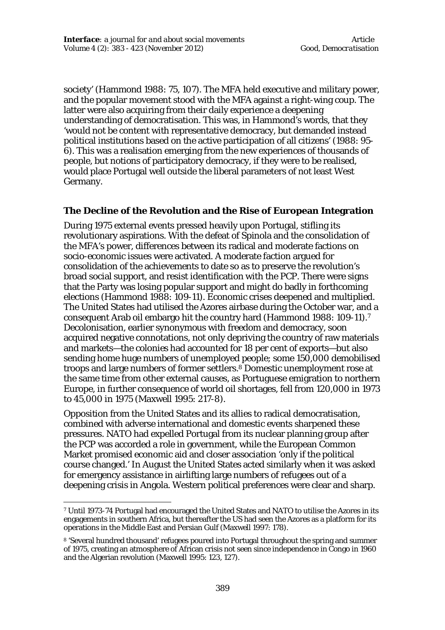society' (Hammond 1988: 75, 107). The MFA held executive and military power, and the popular movement stood with the MFA against a right-wing coup. The latter were also acquiring from their daily experience a deepening understanding of democratisation. This was, in Hammond's words, that they 'would not be content with representative democracy, but demanded instead political institutions based on the active participation of all citizens' (1988: 95- 6). This was a realisation emerging from the new experiences of thousands of people, but notions of participatory democracy, if they were to be realised, would place Portugal well outside the liberal parameters of not least West Germany.

#### **The Decline of the Revolution and the Rise of European Integration**

During 1975 external events pressed heavily upon Portugal, stifling its revolutionary aspirations. With the defeat of Spinola and the consolidation of the MFA's power, differences between its radical and moderate factions on socio-economic issues were activated. A moderate faction argued for consolidation of the achievements to date so as to preserve the revolution's broad social support, and resist identification with the PCP. There were signs that the Party was losing popular support and might do badly in forthcoming elections (Hammond 1988: 109-11). Economic crises deepened and multiplied. The United States had utilised the Azores airbase during the October war, and a consequent Arab oil embargo hit the country hard (Hammond 1988: 109-11). 7 Decolonisation, earlier synonymous with freedom and democracy, soon acquired negative connotations, not only depriving the country of raw materials and markets—the colonies had accounted for 18 per cent of exports—but also sending home huge numbers of unemployed people; some 150,000 demobilised troops and large numbers of former settlers.<sup>8</sup> Domestic unemployment rose at the same time from other external causes, as Portuguese emigration to northern Europe, in further consequence of world oil shortages, fell from 120,000 in 1973 to 45,000 in 1975 (Maxwell 1995: 217-8).

Opposition from the United States and its allies to radical democratisation, combined with adverse international and domestic events sharpened these pressures. NATO had expelled Portugal from its nuclear planning group after the PCP was accorded a role in government, while the European Common Market promised economic aid and closer association 'only if the political course changed.' In August the United States acted similarly when it was asked for emergency assistance in airlifting large numbers of refugees out of a deepening crisis in Angola. Western political preferences were clear and sharp.

 $\overline{a}$ <sup>7</sup> Until 1973-74 Portugal had encouraged the United States and NATO to utilise the Azores in its engagements in southern Africa, but thereafter the US had seen the Azores as a platform for its operations in the Middle East and Persian Gulf (Maxwell 1997: 178).

<sup>8</sup> 'Several hundred thousand' refugees poured into Portugal throughout the spring and summer of 1975, creating an atmosphere of African crisis not seen since independence in Congo in 1960 and the Algerian revolution (Maxwell 1995: 123, 127).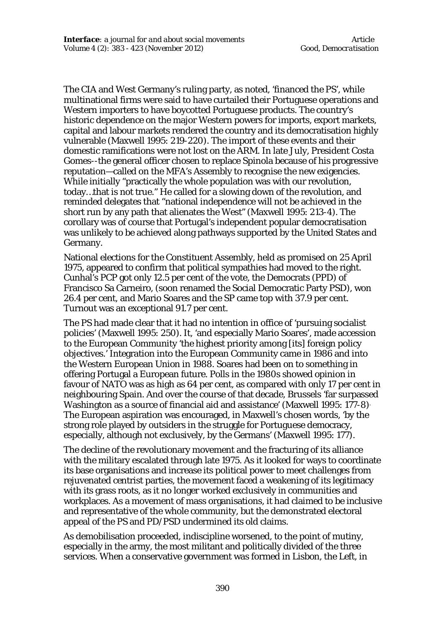The CIA and West Germany's ruling party, as noted, 'financed the PS', while multinational firms were said to have curtailed their Portuguese operations and Western importers to have boycotted Portuguese products. The country's historic dependence on the major Western powers for imports, export markets, capital and labour markets rendered the country and its democratisation highly vulnerable (Maxwell 1995: 219-220). The import of these events and their domestic ramifications were not lost on the ARM. In late July, President Costa Gomes--the general officer chosen to replace Spinola because of his progressive reputation—called on the MFA's Assembly to recognise the new exigencies. While initially "practically the whole population was with our revolution, today…that is not true." He called for a slowing down of the revolution, and reminded delegates that "national independence will not be achieved in the short run by any path that alienates the West" (Maxwell 1995: 213-4). The corollary was of course that Portugal's independent popular democratisation was unlikely to be achieved along pathways supported by the United States and Germany.

National elections for the Constituent Assembly, held as promised on 25 April 1975, appeared to confirm that political sympathies had moved to the right. Cunhal's PCP got only 12.5 per cent of the vote, the Democrats (PPD) of Francisco Sa Carneiro, (soon renamed the Social Democratic Party PSD), won 26.4 per cent, and Mario Soares and the SP came top with 37.9 per cent. Turnout was an exceptional 91.7 per cent.

The PS had made clear that it had no intention in office of 'pursuing socialist policies' (Maxwell 1995: 250). It, 'and especially Mario Soares', made accession to the European Community 'the highest priority among [its] foreign policy objectives.' Integration into the European Community came in 1986 and into the Western European Union in 1988. Soares had been on to something in offering Portugal a European future. Polls in the 1980s showed opinion in favour of NATO was as high as 64 per cent, as compared with only 17 per cent in neighbouring Spain. And over the course of that decade, Brussels 'far surpassed Washington as a source of financial aid and assistance' (Maxwell 1995: 177-8). The European aspiration was encouraged, in Maxwell's chosen words, 'by the strong role played by outsiders in the struggle for Portuguese democracy, especially, although not exclusively, by the Germans' (Maxwell 1995: 177).

The decline of the revolutionary movement and the fracturing of its alliance with the military escalated through late 1975. As it looked for ways to coordinate its base organisations and increase its political power to meet challenges from rejuvenated centrist parties, the movement faced a weakening of its legitimacy with its grass roots, as it no longer worked exclusively in communities and workplaces. As a movement of mass organisations, it had claimed to be inclusive and representative of the whole community, but the demonstrated electoral appeal of the PS and PD/PSD undermined its old claims.

As demobilisation proceeded, indiscipline worsened, to the point of mutiny, especially in the army, the most militant and politically divided of the three services. When a conservative government was formed in Lisbon, the Left, in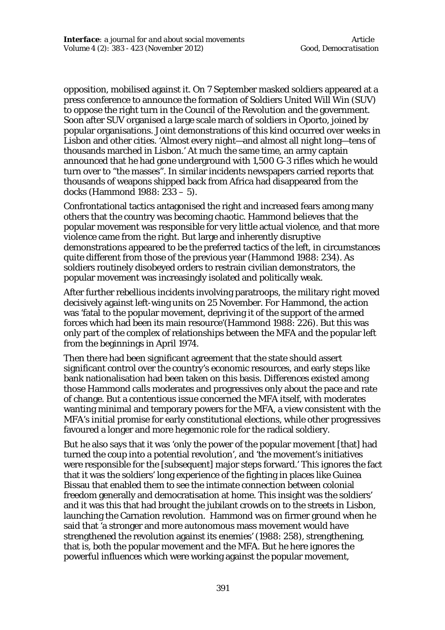opposition, mobilised against it. On 7 September masked soldiers appeared at a press conference to announce the formation of Soldiers United Will Win (SUV) to oppose the right turn in the Council of the Revolution and the government. Soon after SUV organised a large scale march of soldiers in Oporto, joined by popular organisations. Joint demonstrations of this kind occurred over weeks in Lisbon and other cities. 'Almost every night—and almost all night long—tens of thousands marched in Lisbon.' At much the same time, an army captain announced that he had gone underground with 1,500 G-3 rifles which he would turn over to "the masses". In similar incidents newspapers carried reports that thousands of weapons shipped back from Africa had disappeared from the docks (Hammond 1988: 233 – 5).

Confrontational tactics antagonised the right and increased fears among many others that the country was becoming chaotic. Hammond believes that the popular movement was responsible for very little actual violence, and that more violence came from the right. But large and inherently disruptive demonstrations appeared to be the preferred tactics of the left, in circumstances quite different from those of the previous year (Hammond 1988: 234). As soldiers routinely disobeyed orders to restrain civilian demonstrators, the popular movement was increasingly isolated and politically weak.

After further rebellious incidents involving paratroops, the military right moved decisively against left-wing units on 25 November. For Hammond, the action was 'fatal to the popular movement, depriving it of the support of the armed forces which had been its main resource'(Hammond 1988: 226). But this was only part of the complex of relationships between the MFA and the popular left from the beginnings in April 1974.

Then there had been significant agreement that the state should assert significant control over the country's economic resources, and early steps like bank nationalisation had been taken on this basis. Differences existed among those Hammond calls moderates and progressives only about the pace and rate of change. But a contentious issue concerned the MFA itself, with moderates wanting minimal and temporary powers for the MFA, a view consistent with the MFA's initial promise for early constitutional elections, while other progressives favoured a longer and more hegemonic role for the radical soldiery.

But he also says that it was 'only the power of the popular movement [that] had turned the coup into a potential revolution', and 'the movement's initiatives were responsible for the [subsequent] major steps forward.' This ignores the fact that it was the soldiers' long experience of the fighting in places like Guinea Bissau that enabled them to see the intimate connection between colonial freedom generally and democratisation at home. This insight was the soldiers' and it was this that had brought the jubilant crowds on to the streets in Lisbon, launching the Carnation revolution. Hammond was on firmer ground when he said that 'a stronger and more autonomous mass movement would have strengthened the revolution against its enemies' (1988: 258), strengthening, that is, both the popular movement and the MFA. But he here ignores the powerful influences which were working against the popular movement,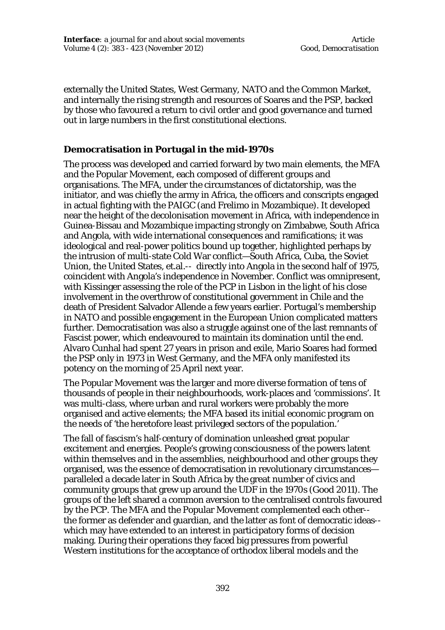externally the United States, West Germany, NATO and the Common Market, and internally the rising strength and resources of Soares and the PSP, backed by those who favoured a return to civil order and good governance and turned out in large numbers in the first constitutional elections.

# **Democratisation in Portugal in the mid-1970s**

The process was developed and carried forward by two main elements, the MFA and the Popular Movement, each composed of different groups and organisations. The MFA, under the circumstances of dictatorship, was the initiator, and was chiefly the army in Africa, the officers and conscripts engaged in actual fighting with the PAIGC (and Frelimo in Mozambique). It developed near the height of the decolonisation movement in Africa, with independence in Guinea-Bissau and Mozambique impacting strongly on Zimbabwe, South Africa and Angola, with wide international consequences and ramifications; it was ideological and real-power politics bound up together, highlighted perhaps by the intrusion of multi-state Cold War conflict—South Africa, Cuba, the Soviet Union, the United States, et.al.-- directly into Angola in the second half of 1975, coincident with Angola's independence in November. Conflict was omnipresent, with Kissinger assessing the role of the PCP in Lisbon in the light of his close involvement in the overthrow of constitutional government in Chile and the death of President Salvador Allende a few years earlier. Portugal's membership in NATO and possible engagement in the European Union complicated matters further. Democratisation was also a struggle against one of the last remnants of Fascist power, which endeavoured to maintain its domination until the end. Alvaro Cunhal had spent 27 years in prison and exile, Mario Soares had formed the PSP only in 1973 in West Germany, and the MFA only manifested its potency on the morning of 25 April next year.

The Popular Movement was the larger and more diverse formation of tens of thousands of people in their neighbourhoods, work-places and 'commissions'. It was multi-class, where urban and rural workers were probably the more organised and active elements; the MFA based its initial economic program on the needs of 'the heretofore least privileged sectors of the population.'

The fall of fascism's half-century of domination unleashed great popular excitement and energies. People's growing consciousness of the powers latent within themselves and in the assemblies, neighbourhood and other groups they organised, was the essence of democratisation in revolutionary circumstances paralleled a decade later in South Africa by the great number of civics and community groups that grew up around the UDF in the 1970s (Good 2011). The groups of the left shared a common aversion to the centralised controls favoured by the PCP. The MFA and the Popular Movement complemented each other- the former as defender and guardian, and the latter as font of democratic ideas- which may have extended to an interest in participatory forms of decision making. During their operations they faced big pressures from powerful Western institutions for the acceptance of orthodox liberal models and the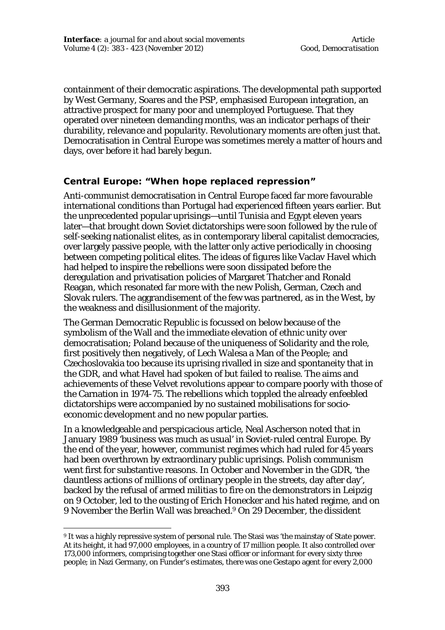containment of their democratic aspirations. The developmental path supported by West Germany, Soares and the PSP, emphasised European integration, an attractive prospect for many poor and unemployed Portuguese. That they operated over nineteen demanding months, was an indicator perhaps of their durability, relevance and popularity. Revolutionary moments are often just that. Democratisation in Central Europe was sometimes merely a matter of hours and days, over before it had barely begun.

# **Central Europe: "When hope replaced repression"**

Anti-communist democratisation in Central Europe faced far more favourable international conditions than Portugal had experienced fifteen years earlier. But the unprecedented popular uprisings—until Tunisia and Egypt eleven years later—that brought down Soviet dictatorships were soon followed by the rule of self-seeking nationalist elites, as in contemporary liberal capitalist democracies, over largely passive people, with the latter only active periodically in choosing between competing political elites. The ideas of figures like Vaclav Havel which had helped to inspire the rebellions were soon dissipated before the deregulation and privatisation policies of Margaret Thatcher and Ronald Reagan, which resonated far more with the new Polish, German, Czech and Slovak rulers. The aggrandisement of the few was partnered, as in the West, by the weakness and disillusionment of the majority.

The German Democratic Republic is focussed on below because of the symbolism of the Wall and the immediate elevation of ethnic unity over democratisation; Poland because of the uniqueness of Solidarity and the role, first positively then negatively, of Lech Walesa a Man of the People; and Czechoslovakia too because its uprising rivalled in size and spontaneity that in the GDR, and what Havel had spoken of but failed to realise. The aims and achievements of these Velvet revolutions appear to compare poorly with those of the Carnation in 1974-75. The rebellions which toppled the already enfeebled dictatorships were accompanied by no sustained mobilisations for socioeconomic development and no new popular parties.

In a knowledgeable and perspicacious article, Neal Ascherson noted that in January 1989 'business was much as usual' in Soviet-ruled central Europe. By the end of the year, however, communist regimes which had ruled for 45 years had been overthrown by extraordinary public uprisings. Polish communism went first for substantive reasons. In October and November in the GDR, 'the dauntless actions of millions of ordinary people in the streets, day after day', backed by the refusal of armed militias to fire on the demonstrators in Leipzig on 9 October, led to the ousting of Erich Honecker and his hated regime, and on 9 November the Berlin Wall was breached.<sup>9</sup> On 29 December, the dissident

 $\overline{a}$ 

<sup>9</sup> It was a highly repressive system of personal rule. The Stasi was 'the mainstay of State power. At its height, it had 97,000 employees, in a country of 17 million people. It also controlled over 173,000 informers, comprising together one Stasi officer or informant for every sixty three people; in Nazi Germany, on Funder's estimates, there was one Gestapo agent for every 2,000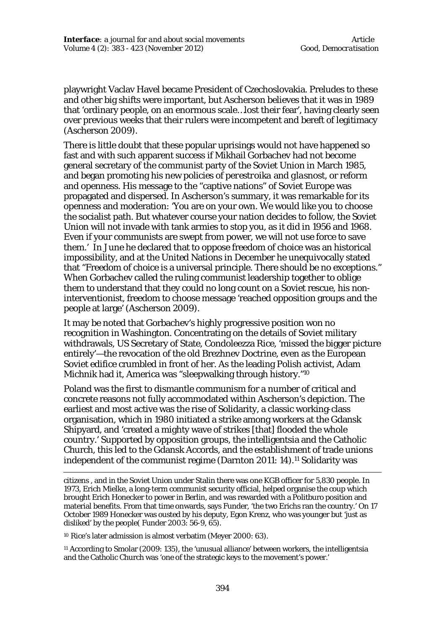playwright Vaclav Havel became President of Czechoslovakia. Preludes to these and other big shifts were important, but Ascherson believes that it was in 1989 that 'ordinary people, on an enormous scale…lost their fear', having clearly seen over previous weeks that their rulers were incompetent and bereft of legitimacy (Ascherson 2009).

There is little doubt that these popular uprisings would not have happened so fast and with such apparent success if Mikhail Gorbachev had not become general secretary of the communist party of the Soviet Union in March 1985, and began promoting his new policies of *perestroika* and *glasnost*, or reform and openness. His message to the "captive nations" of Soviet Europe was propagated and dispersed. In Ascherson's summary, it was remarkable for its openness and moderation: 'You are on your own. We would like you to choose the socialist path. But whatever course your nation decides to follow, the Soviet Union will not invade with tank armies to stop you, as it did in 1956 and 1968. Even if your communists are swept from power, we will not use force to save them.' In June he declared that to oppose freedom of choice was an historical impossibility, and at the United Nations in December he unequivocally stated that "Freedom of choice is a universal principle. There should be no exceptions." When Gorbachev called the ruling communist leadership together to oblige them to understand that they could no long count on a Soviet rescue, his noninterventionist, freedom to choose message 'reached opposition groups and the people at large' (Ascherson 2009).

It may be noted that Gorbachev's highly progressive position won no recognition in Washington. Concentrating on the details of Soviet military withdrawals, US Secretary of State, Condoleezza Rice, 'missed the bigger picture entirely'—the revocation of the old Brezhnev Doctrine, even as the European Soviet edifice crumbled in front of her. As the leading Polish activist, Adam Michnik had it, America was "sleepwalking through history."<sup>10</sup>

Poland was the first to dismantle communism for a number of critical and concrete reasons not fully accommodated within Ascherson's depiction. The earliest and most active was the rise of Solidarity, a classic working-class organisation, which in 1980 initiated a strike among workers at the Gdansk Shipyard, and 'created a mighty wave of strikes [that] flooded the whole country.' Supported by opposition groups, the intelligentsia and the Catholic Church, this led to the Gdansk Accords, and the establishment of trade unions independent of the communist regime (Darnton 2011: 14). <sup>11</sup> Solidarity was

 $\overline{a}$ citizens , and in the Soviet Union under Stalin there was one KGB officer for 5,830 people. In 1973, Erich Mielke, a long-term communist security official, helped organise the coup which brought Erich Honecker to power in Berlin, and was rewarded with a Politburo position and material benefits. From that time onwards, says Funder, 'the two Erichs ran the country.' On 17 October 1989 Honecker was ousted by his deputy, Egon Krenz, who was younger but 'just as disliked' by the people( Funder 2003: 56-9, 65).

<sup>10</sup> Rice's later admission is almost verbatim (Meyer 2000: 63).

<sup>11</sup> According to Smolar (2009: 135), the 'unusual alliance' between workers, the intelligentsia and the Catholic Church was 'one of the strategic keys to the movement's power.'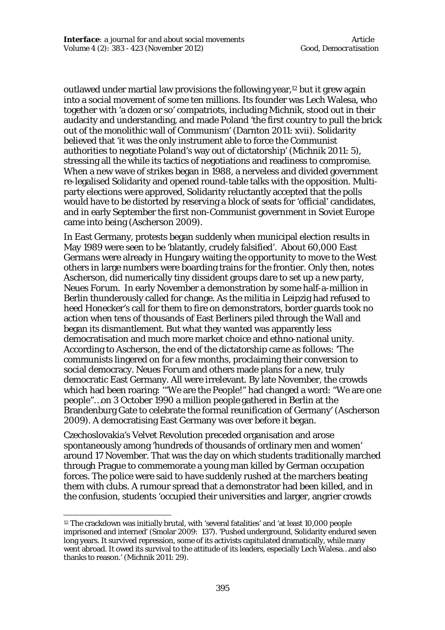outlawed under martial law provisions the following year,<sup>12</sup> but it grew again into a social movement of some ten millions. Its founder was Lech Walesa, who together with 'a dozen or so' compatriots, including Michnik, stood out in their audacity and understanding, and made Poland 'the first country to pull the brick out of the monolithic wall of Communism' (Darnton 2011: xvii). Solidarity believed that 'it was the only instrument able to force the Communist authorities to negotiate Poland's way out of dictatorship' (Michnik 2011: 5), stressing all the while its tactics of negotiations and readiness to compromise. When a new wave of strikes began in 1988, a nerveless and divided government re-legalised Solidarity and opened round-table talks with the opposition. Multiparty elections were approved, Solidarity reluctantly accepted that the polls would have to be distorted by reserving a block of seats for 'official' candidates, and in early September the first non-Communist government in Soviet Europe came into being (Ascherson 2009).

In East Germany, protests began suddenly when municipal election results in May 1989 were seen to be 'blatantly, crudely falsified'. About 60,000 East Germans were already in Hungary waiting the opportunity to move to the West others in large numbers were boarding trains for the frontier. Only then, notes Ascherson, did numerically tiny dissident groups dare to set up a new party, *Neues Forum*. In early November a demonstration by some half-a-million in Berlin thunderously called for change. As the militia in Leipzig had refused to heed Honecker's call for them to fire on demonstrators, border guards took no action when tens of thousands of East Berliners piled through the Wall and began its dismantlement. But what they wanted was apparently less democratisation and much more market choice and ethno-national unity. According to Ascherson, the end of the dictatorship came as follows: 'The communists lingered on for a few months, proclaiming their conversion to social democracy. *Neues Forum* and others made plans for a new, truly democratic East Germany. All were irrelevant. By late November, the crowds which had been roaring: '"We are the People!" had changed a word: "We are one people"…on 3 October 1990 a million people gathered in Berlin at the Brandenburg Gate to celebrate the formal reunification of Germany' (Ascherson 2009). A democratising East Germany was over before it began.

Czechoslovakia's Velvet Revolution preceded organisation and arose spontaneously among 'hundreds of thousands of ordinary men and women' around 17 November. That was the day on which students traditionally marched through Prague to commemorate a young man killed by German occupation forces. The police were said to have suddenly rushed at the marchers beating them with clubs. A rumour spread that a demonstrator had been killed, and in the confusion, students 'occupied their universities and larger, angrier crowds

 $\overline{a}$ 

<sup>12</sup> The crackdown was initially brutal, with 'several fatalities' and 'at least 10,000 people imprisoned and interned' (Smolar 2009: 137). 'Pushed underground, Solidarity endured seven long years. It survived repression, some of its activists capitulated dramatically, while many went abroad. It owed its survival to the attitude of its leaders, especially Lech Walesa...and also thanks to reason.' (Michnik 2011: 29).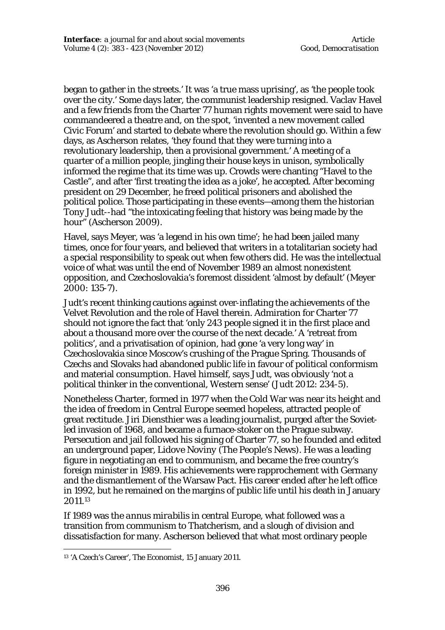began to gather in the streets.' It was 'a true mass uprising', as 'the people took over the city.' Some days later, the communist leadership resigned. Vaclav Havel and a few friends from the Charter 77 human rights movement were said to have commandeered a theatre and, on the spot, 'invented a new movement called Civic Forum' and started to debate where the revolution should go. Within a few days, as Ascherson relates, 'they found that they were turning into a revolutionary leadership, then a provisional government.' A meeting of a quarter of a million people, jingling their house keys in unison, symbolically informed the regime that its time was up. Crowds were chanting "Havel to the Castle", and after 'first treating the idea as a joke', he accepted. After becoming president on 29 December, he freed political prisoners and abolished the political police. Those participating in these events—among them the historian Tony Judt--had "the intoxicating feeling that history was being made by the hour" (Ascherson 2009).

Havel, says Meyer, was 'a legend in his own time'; he had been jailed many times, once for four years, and believed that writers in a totalitarian society had a special responsibility to speak out when few others did. He was the intellectual voice of what was until the end of November 1989 an almost nonexistent opposition, and Czechoslovakia's foremost dissident 'almost by default' (Meyer 2000: 135-7).

Judt's recent thinking cautions against over-inflating the achievements of the Velvet Revolution and the role of Havel therein. Admiration for Charter 77 should not ignore the fact that 'only 243 people signed it in the first place and about a thousand more over the course of the next decade.' A 'retreat from politics', and a privatisation of opinion, had gone 'a very long way' in Czechoslovakia since Moscow's crushing of the Prague Spring. Thousands of Czechs and Slovaks had abandoned public life in favour of political conformism and material consumption. Havel himself, says Judt, was obviously 'not a political thinker in the conventional, Western sense' (Judt 2012: 234-5).

Nonetheless Charter, formed in 1977 when the Cold War was near its height and the idea of freedom in Central Europe seemed hopeless, attracted people of great rectitude. Jiri Diensthier was a leading journalist, purged after the Sovietled invasion of 1968, and became a furnace-stoker on the Prague subway. Persecution and jail followed his signing of Charter 77, so he founded and edited an underground paper, *Lidove Noviny* (The People's News). He was a leading figure in negotiating an end to communism, and became the free country's foreign minister in 1989. His achievements were rapprochement with Germany and the dismantlement of the Warsaw Pact. His career ended after he left office in 1992, but he remained on the margins of public life until his death in January 2011.<sup>13</sup>

If 1989 was the *annus mirabilis* in central Europe, what followed was a transition from communism to Thatcherism, and a slough of division and dissatisfaction for many. Ascherson believed that what most ordinary people

 $\overline{a}$ <sup>13</sup> 'A Czech's Career', *The Economist*, 15 January 2011.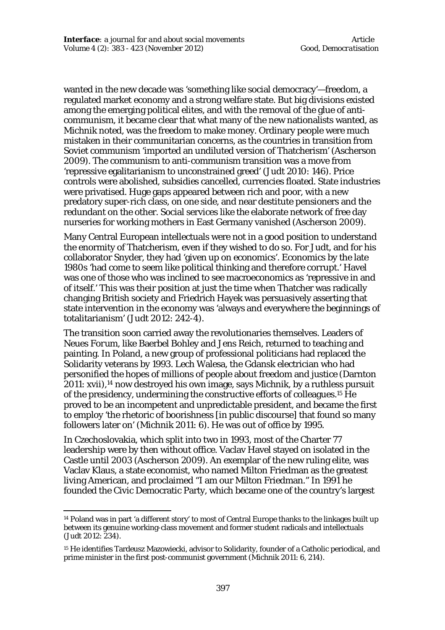wanted in the new decade was 'something like social democracy'—freedom, a regulated market economy and a strong welfare state. But big divisions existed among the emerging political elites, and with the removal of the glue of anticommunism, it became clear that what many of the new nationalists wanted, as Michnik noted, was the freedom to make money. Ordinary people were much mistaken in their communitarian concerns, as the countries in transition from Soviet communism 'imported an undiluted version of Thatcherism' (Ascherson 2009). The communism to anti-communism transition was a move from 'repressive egalitarianism to unconstrained greed' (Judt 2010: 146). Price controls were abolished, subsidies cancelled, currencies floated. State industries were privatised. Huge gaps appeared between rich and poor, with a new predatory super-rich class, on one side, and near destitute pensioners and the redundant on the other. Social services like the elaborate network of free day nurseries for working mothers in East Germany vanished (Ascherson 2009).

Many Central European intellectuals were not in a good position to understand the enormity of Thatcherism, even if they wished to do so. For Judt, and for his collaborator Snyder, they had 'given up on economics'. Economics by the late 1980s 'had come to seem like political thinking and therefore corrupt.' Havel was one of those who was inclined to see macroeconomics as 'repressive in and of itself.' This was their position at just the time when Thatcher was radically changing British society and Friedrich Hayek was persuasively asserting that state intervention in the economy was 'always and everywhere the beginnings of totalitarianism' (Judt 2012: 242-4).

The transition soon carried away the revolutionaries themselves. Leaders of *Neues Forum*, like Baerbel Bohley and Jens Reich, returned to teaching and painting. In Poland, a new group of professional politicians had replaced the Solidarity veterans by 1993. Lech Walesa, the Gdansk electrician who had personified the hopes of millions of people about freedom and justice (Darnton 2011: xvii), <sup>14</sup> now destroyed his own image, says Michnik, by a ruthless pursuit of the presidency, undermining the constructive efforts of colleagues.<sup>15</sup> He proved to be an incompetent and unpredictable president, and became the first to employ 'the rhetoric of boorishness [in public discourse] that found so many followers later on' (Michnik 2011: 6). He was out of office by 1995.

In Czechoslovakia, which split into two in 1993, most of the Charter 77 leadership were by then without office. Vaclav Havel stayed on isolated in the Castle until 2003 (Ascherson 2009). An exemplar of the new ruling elite, was Vaclav Klaus, a state economist, who named Milton Friedman as the greatest living American, and proclaimed "I am our Milton Friedman." In 1991 he founded the Civic Democratic Party, which became one of the country's largest

 $\overline{a}$ 14 Poland was in part 'a different story' to most of Central Europe thanks to the linkages built up between its genuine working-class movement and former student radicals and intellectuals (Judt 2012: 234).

<sup>&</sup>lt;sup>15</sup> He identifies Tardeusz Mazowiecki, advisor to Solidarity, founder of a Catholic periodical, and prime minister in the first post-communist government (Michnik 2011: 6, 214).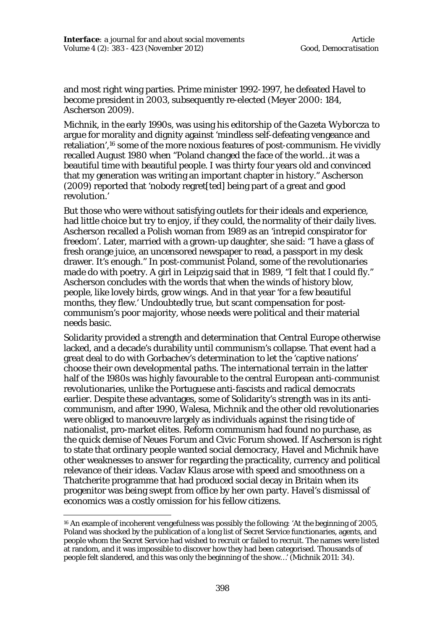and most right wing parties. Prime minister 1992-1997, he defeated Havel to become president in 2003, subsequently re-elected (Meyer 2000: 184, Ascherson 2009).

Michnik, in the early 1990s, was using his editorship of the *Gazeta Wyborcza* to argue for morality and dignity against 'mindless self-defeating vengeance and retaliation',<sup>16</sup> some of the more noxious features of post-communism. He vividly recalled August 1980 when "Poland changed the face of the world…it was a beautiful time with beautiful people. I was thirty four years old and convinced that my generation was writing an important chapter in history." Ascherson (2009) reported that 'nobody regret[ted] being part of a great and good revolution.'

But those who were without satisfying outlets for their ideals and experience, had little choice but try to enjoy, if they could, the normality of their daily lives. Ascherson recalled a Polish woman from 1989 as an 'intrepid conspirator for freedom'. Later, married with a grown-up daughter, she said: "I have a glass of fresh orange juice, an uncensored newspaper to read, a passport in my desk drawer. It's enough." In post-communist Poland, some of the revolutionaries made do with poetry. A girl in Leipzig said that in 1989, "I felt that I could fly." Ascherson concludes with the words that when the winds of history blow, people, like lovely birds, grow wings. And in that year 'for a few beautiful months, they flew.' Undoubtedly true, but scant compensation for postcommunism's poor majority, whose needs were political and their material needs basic.

Solidarity provided a strength and determination that Central Europe otherwise lacked, and a decade's durability until communism's collapse. That event had a great deal to do with Gorbachev's determination to let the 'captive nations' choose their own developmental paths. The international terrain in the latter half of the 1980s was highly favourable to the central European anti-communist revolutionaries, unlike the Portuguese anti-fascists and radical democrats earlier. Despite these advantages, some of Solidarity's strength was in its anticommunism, and after 1990, Walesa, Michnik and the other old revolutionaries were obliged to manoeuvre largely as individuals against the rising tide of nationalist, pro-market elites. Reform communism had found no purchase, as the quick demise of *Neues Forum* and Civic Forum showed. If Ascherson is right to state that ordinary people wanted social democracy, Havel and Michnik have other weaknesses to answer for regarding the practicality, currency and political relevance of their ideas. Vaclav Klaus arose with speed and smoothness on a Thatcherite programme that had produced social decay in Britain when its progenitor was being swept from office by her own party. Havel's dismissal of economics was a costly omission for his fellow citizens.

 $\overline{a}$ 

<sup>&</sup>lt;sup>16</sup> An example of incoherent vengefulness was possibly the following: 'At the beginning of 2005, Poland was shocked by the publication of a long list of Secret Service functionaries, agents, and people whom the Secret Service had wished to recruit or failed to recruit. The names were listed at random, and it was impossible to discover how they had been categorised. Thousands of people felt slandered, and this was only the beginning of the show…' (Michnik 2011: 34).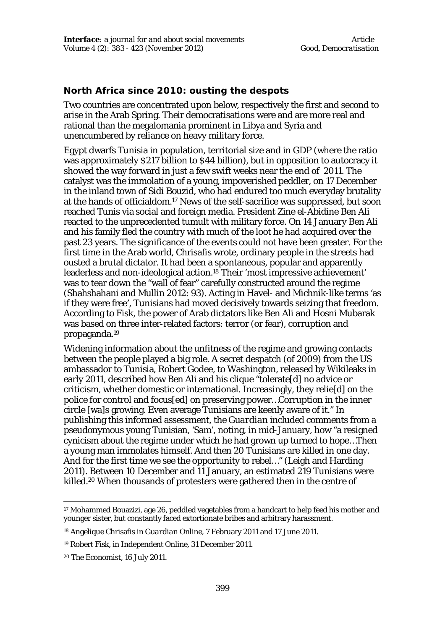#### **North Africa since 2010: ousting the despots**

Two countries are concentrated upon below, respectively the first and second to arise in the Arab Spring. Their democratisations were and are more real and rational than the megalomania prominent in Libya and Syria and unencumbered by reliance on heavy military force.

Egypt dwarfs Tunisia in population, territorial size and in GDP (where the ratio was approximately \$217 billion to \$44 billion), but in opposition to autocracy it showed the way forward in just a few swift weeks near the end of 2011. The catalyst was the immolation of a young, impoverished peddler, on 17 December in the inland town of Sidi Bouzid, who had endured too much everyday brutality at the hands of officialdom.<sup>17</sup> News of the self-sacrifice was suppressed, but soon reached Tunis via social and foreign media. President Zine el-Abidine Ben Ali reacted to the unprecedented tumult with military force. On 14 January Ben Ali and his family fled the country with much of the loot he had acquired over the past 23 years. The significance of the events could not have been greater. For the first time in the Arab world, Chrisafis wrote, ordinary people in the streets had ousted a brutal dictator. It had been a spontaneous, popular and apparently leaderless and non-ideological action.<sup>18</sup> Their 'most impressive achievement' was to tear down the "wall of fear" carefully constructed around the regime (Shahshahani and Mullin 2012: 93). Acting in Havel- and Michnik-like terms 'as if they were free', Tunisians had moved decisively towards seizing that freedom. According to Fisk, the power of Arab dictators like Ben Ali and Hosni Mubarak was based on three inter-related factors: terror (or fear), corruption and propaganda.<sup>19</sup>

Widening information about the unfitness of the regime and growing contacts between the people played a big role. A secret despatch (of 2009) from the US ambassador to Tunisia, Robert Godee, to Washington, released by Wikileaks in early 2011, described how Ben Ali and his clique "tolerate[d] no advice or criticism, whether domestic or international. Increasingly, they relie[d] on the police for control and focus[ed] on preserving power…Corruption in the inner circle [wa]s growing. Even average Tunisians are keenly aware of it*."* In publishing this informed assessment, the *Guardian* included comments from a pseudonymous young Tunisian, 'Sam', noting, in mid-January, how "a resigned cynicism about the regime under which he had grown up turned to hope…Then a young man immolates himself. And then 20 Tunisians are killed in one day. And for the first time we see the opportunity to rebel…" (Leigh and Harding 2011). Between 10 December and 11 January, an estimated 219 Tunisians were killed.<sup>20</sup> When thousands of protesters were gathered then in the centre of

 $\overline{a}$ 

<sup>17</sup> Mohammed Bouazizi, age 26, peddled vegetables from a handcart to help feed his mother and younger sister, but constantly faced extortionate bribes and arbitrary harassment.

<sup>18</sup> Angelique Chrisafis in *Guardian Online*, 7 February 2011 and 17 June 2011.

<sup>19</sup> Robert Fisk, in *Independent Online*, 31 December 2011.

<sup>20</sup> *The Economist*, 16 July 2011.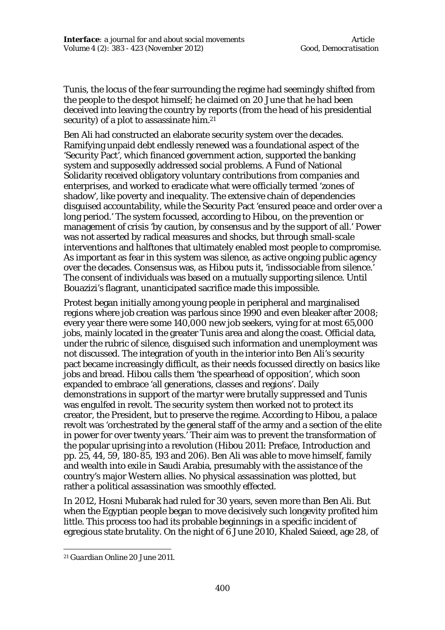Tunis, the locus of the fear surrounding the regime had seemingly shifted from the people to the despot himself; he claimed on 20 June that he had been deceived into leaving the country by reports (from the head of his presidential security) of a plot to assassinate him.<sup>21</sup>

Ben Ali had constructed an elaborate security system over the decades. Ramifying unpaid debt endlessly renewed was a foundational aspect of the 'Security Pact', which financed government action, supported the banking system and supposedly addressed social problems. A Fund of National Solidarity received obligatory voluntary contributions from companies and enterprises, and worked to eradicate what were officially termed 'zones of shadow', like poverty and inequality. The extensive chain of dependencies disguised accountability, while the Security Pact 'ensured peace and order over a long period.' The system focussed, according to Hibou, on the prevention or management of crisis 'by caution, by consensus and by the support of all.' Power was not asserted by radical measures and shocks, but through small-scale interventions and halftones that ultimately enabled most people to compromise. As important as fear in this system was silence, as active ongoing public agency over the decades. Consensus was, as Hibou puts it, 'indissociable from silence.' The consent of individuals was based on a mutually supporting silence. Until Bouazizi's flagrant, unanticipated sacrifice made this impossible.

Protest began initially among young people in peripheral and marginalised regions where job creation was parlous since 1990 and even bleaker after 2008; every year there were some 140,000 new job seekers, vying for at most 65,000 jobs, mainly located in the greater Tunis area and along the coast. Official data, under the rubric of silence, disguised such information and unemployment was not discussed. The integration of youth in the interior into Ben Ali's security pact became increasingly difficult, as their needs focussed directly on basics like jobs and bread. Hibou calls them 'the spearhead of opposition', which soon expanded to embrace 'all generations, classes and regions'. Daily demonstrations in support of the martyr were brutally suppressed and Tunis was engulfed in revolt. The security system then worked not to protect its creator, the President, but to preserve the regime. According to Hibou, a palace revolt was 'orchestrated by the general staff of the army and a section of the elite in power for over twenty years.' Their aim was to prevent the transformation of the popular uprising into a revolution (Hibou 2011: Preface, Introduction and pp. 25, 44, 59, 180-85, 193 and 206). Ben Ali was able to move himself, family and wealth into exile in Saudi Arabia, presumably with the assistance of the country's major Western allies. No physical assassination was plotted, but rather a political assassination was smoothly effected.

In 2012, Hosni Mubarak had ruled for 30 years, seven more than Ben Ali. But when the Egyptian people began to move decisively such longevity profited him little. This process too had its probable beginnings in a specific incident of egregious state brutality. On the night of 6 June 2010, Khaled Saieed, age 28, of

 $\overline{a}$ <sup>21</sup> *Guardian Online* 20 June 2011.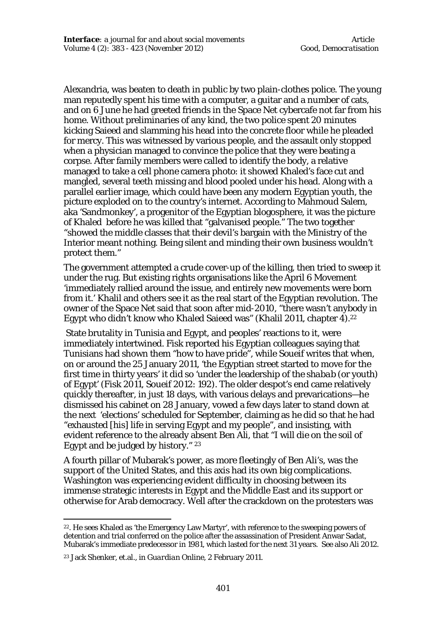Alexandria, was beaten to death in public by two plain-clothes police. The young man reputedly spent his time with a computer, a guitar and a number of cats, and on 6 June he had greeted friends in the Space Net cybercafe not far from his home. Without preliminaries of any kind, the two police spent 20 minutes kicking Saieed and slamming his head into the concrete floor while he pleaded for mercy. This was witnessed by various people, and the assault only stopped when a physician managed to convince the police that they were beating a corpse. After family members were called to identify the body, a relative managed to take a cell phone camera photo: it showed Khaled's face cut and mangled, several teeth missing and blood pooled under his head. Along with a parallel earlier image, which could have been any modern Egyptian youth, the picture exploded on to the country's internet. According to Mahmoud Salem, aka 'Sandmonkey', a progenitor of the Egyptian blogosphere, it was the picture of Khaled before he was killed that "galvanised people." The two together "showed the middle classes that their devil's bargain with the Ministry of the Interior meant nothing. Being silent and minding their own business wouldn't protect them."

The government attempted a crude cover-up of the killing, then tried to sweep it under the rug. But existing rights organisations like the April 6 Movement 'immediately rallied around the issue, and entirely new movements were born from it.' Khalil and others see it as the real start of the Egyptian revolution. The owner of the Space Net said that soon after mid-2010, "there wasn't anybody in Egypt who didn't know who Khaled Saieed was" (Khalil 2011, chapter 4). 22

State brutality in Tunisia and Egypt, and peoples' reactions to it, were immediately intertwined. Fisk reported his Egyptian colleagues saying that Tunisians had shown them "how to have pride", while Soueif writes that when, on or around the 25 January 2011, 'the Egyptian street started to move for the first time in thirty years' it did so 'under the leadership of the *shabab* (or youth) of Egypt' (Fisk 2011, Soueif 2012: 192). The older despot's end came relatively quickly thereafter, in just 18 days, with various delays and prevarications—he dismissed his cabinet on 28 January, vowed a few days later to stand down at the next 'elections' scheduled for September, claiming as he did so that he had "exhausted [his] life in serving Egypt and my people", and insisting, with evident reference to the already absent Ben Ali, that "I will die on the soil of Egypt and be judged by history." <sup>23</sup>

A fourth pillar of Mubarak's power, as more fleetingly of Ben Ali's, was the support of the United States, and this axis had its own big complications. Washington was experiencing evident difficulty in choosing between its immense strategic interests in Egypt and the Middle East and its support or otherwise for Arab democracy. Well after the crackdown on the protesters was

 $\overline{a}$ <sup>22</sup>. He sees Khaled as 'the Emergency Law Martyr', with reference to the sweeping powers of detention and trial conferred on the police after the assassination of President Anwar Sadat, Mubarak's immediate predecessor in 1981, which lasted for the next 31 years. See also Ali 2012.

<sup>23</sup> Jack Shenker, et.al., in *Guardian Online*, 2 February 2011.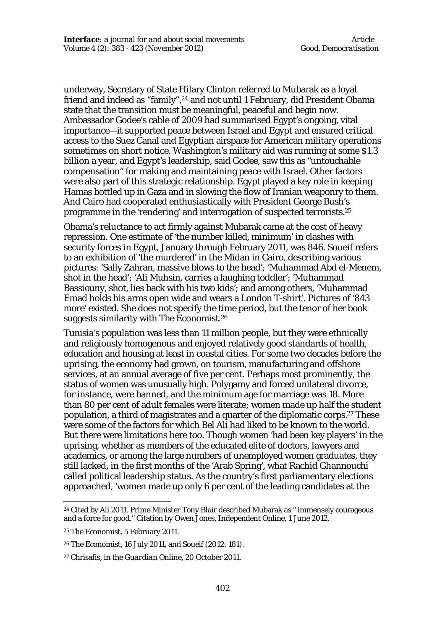underway, Secretary of State Hilary Clinton referred to Mubarak as a loyal friend and indeed as "family",<sup>24</sup> and not until 1 February, did President Obama state that the transition must be meaningful, peaceful and begin now. Ambassador Godee's cable of 2009 had summarised Egypt's ongoing, vital importance—it supported peace between Israel and Egypt and ensured critical access to the Suez Canal and Egyptian airspace for American military operations sometimes on short notice. Washington's military aid was running at some \$1.3 billion a year, and Egypt's leadership, said Godee, saw this as "untouchable compensation" for making and maintaining peace with Israel. Other factors were also part of this strategic relationship. Egypt played a key role in keeping Hamas bottled up in Gaza and in slowing the flow of Iranian weaponry to them. And Cairo had cooperated enthusiastically with President George Bush's programme in the 'rendering' and interrogation of suspected terrorists.<sup>25</sup>

Obama's reluctance to act firmly against Mubarak came at the cost of heavy repression. One estimate of 'the number killed, minimum' in clashes with security forces in Egypt, January through February 2011, was 846. Soueif refers to an exhibition of 'the murdered' in the Midan in Cairo, describing various pictures: 'Sally Zahran, massive blows to the head'; 'Muhammad Abd el-Menem, shot in the head'; 'Ali Muhsin, carries a laughing toddler'; 'Muhammad Bassiouny, shot, lies back with his two kids'; and among others, 'Muhammad Emad holds his arms open wide and wears a London T-shirt'. Pictures of '843 more' existed. She does not specify the time period, but the tenor of her book suggests similarity with *The Economist*. 26

Tunisia's population was less than 11 million people, but they were ethnically and religiously homogenous and enjoyed relatively good standards of health, education and housing at least in coastal cities. For some two decades before the uprising, the economy had grown, on tourism, manufacturing and offshore services, at an annual average of five per cent. Perhaps most prominently, the status of women was unusually high. Polygamy and forced unilateral divorce, for instance, were banned, and the minimum age for marriage was 18. More than 80 per cent of adult females were literate; women made up half the student population, a third of magistrates and a quarter of the diplomatic corps.<sup>27</sup> These were some of the factors for which Bel Ali had liked to be known to the world. But there were limitations here too. Though women 'had been key players' in the uprising, whether as members of the educated elite of doctors, lawyers and academics, or among the large numbers of unemployed women graduates, they still lacked, in the first months of the 'Arab Spring', what Rachid Ghannouchi called political leadership status. As the country's first parliamentary elections approached, 'women made up only 6 per cent of the leading candidates at the

 $\overline{a}$ 

<sup>24</sup> Cited by Ali 2011. Prime Minister Tony Blair described Mubarak as " immensely courageous and a force for good." Citation by Owen Jones, *Independent Online*, 1 June 2012.

<sup>25</sup> *The Economist,* 5 February 2011.

<sup>26</sup> *The Economist*, 16 July 2011, and Soueif (2012: 181).

<sup>27</sup> Chrisafis, in the *Guardian Online*, 20 October 2011.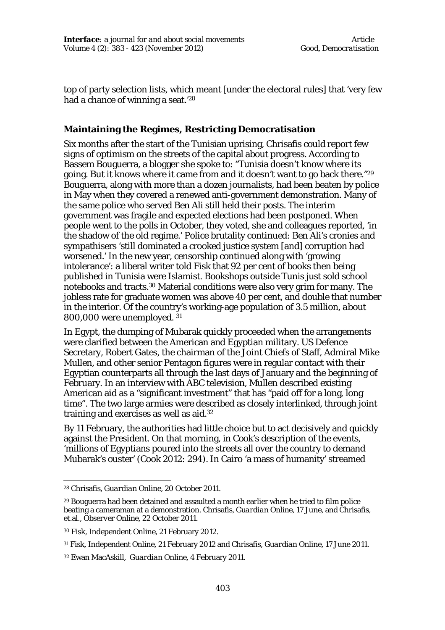top of party selection lists, which meant [under the electoral rules] that 'very few had a chance of winning a seat.<sup>'28</sup>

# **Maintaining the Regimes, Restricting Democratisation**

Six months after the start of the Tunisian uprising, Chrisafis could report few signs of optimism on the streets of the capital about progress. According to Bassem Bouguerra, a blogger she spoke to: "Tunisia doesn't know where its going. But it knows where it came from and it doesn't want to go back there."<sup>29</sup> Bouguerra, along with more than a dozen journalists, had been beaten by police in May when they covered a renewed anti-government demonstration. Many of the same police who served Ben Ali still held their posts. The interim government was fragile and expected elections had been postponed. When people went to the polls in October, they voted, she and colleagues reported, 'in the shadow of the old regime.' Police brutality continued: Ben Ali's cronies and sympathisers 'still dominated a crooked justice system [and] corruption had worsened.' In the new year, censorship continued along with 'growing intolerance': a liberal writer told Fisk that 92 per cent of books then being published in Tunisia were Islamist. Bookshops outside Tunis just sold school notebooks and tracts.<sup>30</sup> Material conditions were also very grim for many. The jobless rate for graduate women was above 40 per cent, and double that number in the interior. Of the country's working-age population of 3.5 million, *about 800,000* were unemployed. <sup>31</sup>

In Egypt, the dumping of Mubarak quickly proceeded when the arrangements were clarified between the American and Egyptian military. US Defence Secretary, Robert Gates, the chairman of the Joint Chiefs of Staff, Admiral Mike Mullen, and other senior Pentagon figures were in regular contact with their Egyptian counterparts all through the last days of January and the beginning of February. In an interview with ABC television, Mullen described existing American aid as a "significant investment" that has "paid off for a long, long time". The two large armies were described as closely interlinked, through joint training and exercises as well as aid.<sup>32</sup>

By 11 February, the authorities had little choice but to act decisively and quickly against the President. On that morning, in Cook's description of the events, 'millions of Egyptians poured into the streets all over the country to demand Mubarak's ouster' (Cook 2012: 294). In Cairo 'a mass of humanity' streamed

 $\overline{a}$ <sup>28</sup> Chrisafis, *Guardian Online*, 20 October 2011.

<sup>&</sup>lt;sup>29</sup> Bouguerra had been detained and assaulted a month earlier when he tried to film police beating a cameraman at a demonstration. Chrisafis, *Guardian Online*, 17 June, and Chrisafis, et.al., *Observer Online*, 22 October 2011.

<sup>30</sup> Fisk, *Independent Online*, 21 February 2012.

<sup>31</sup> Fisk, *Independent Online*, 21 February 2012 and Chrisafis, *Guardian Online*, 17 June 2011.

<sup>32</sup> Ewan MacAskill, *Guardian Online*, 4 February 2011.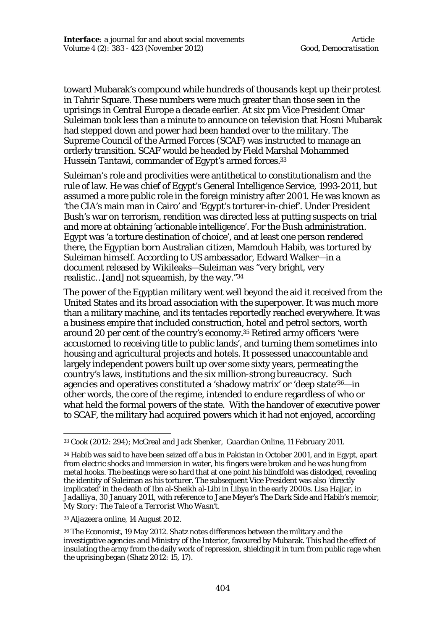toward Mubarak's compound while hundreds of thousands kept up their protest in Tahrir Square. These numbers were much greater than those seen in the uprisings in Central Europe a decade earlier. At six pm Vice President Omar Suleiman took less than a minute to announce on television that Hosni Mubarak had stepped down and power had been handed over to the military. The Supreme Council of the Armed Forces (SCAF) was instructed to manage an orderly transition. SCAF would be headed by Field Marshal Mohammed Hussein Tantawi, commander of Egypt's armed forces.<sup>33</sup>

Suleiman's role and proclivities were antithetical to constitutionalism and the rule of law. He was chief of Egypt's General Intelligence Service, 1993-2011, but assumed a more public role in the foreign ministry after 2001. He was known as 'the CIA's main man in Cairo' and 'Egypt's torturer-in-chief'. Under President Bush's war on terrorism, rendition was directed less at putting suspects on trial and more at obtaining 'actionable intelligence'. For the Bush administration. Egypt was 'a torture destination of choice', and at least one person rendered there, the Egyptian born Australian citizen, Mamdouh Habib, was tortured by Suleiman himself. According to US ambassador, Edward Walker—in a document released by Wikileaks—Suleiman was "very bright, very realistic…[and] not squeamish, by the way."<sup>34</sup>

The power of the Egyptian military went well beyond the aid it received from the United States and its broad association with the superpower. It was much more than a military machine, and its tentacles reportedly reached everywhere. It was a business empire that included construction, hotel and petrol sectors, worth around 20 per cent of the country's economy.<sup>35</sup> Retired army officers 'were accustomed to receiving title to public lands', and turning them sometimes into housing and agricultural projects and hotels. It possessed unaccountable and largely independent powers built up over some sixty years, permeating the country's laws, institutions and the six million-strong bureaucracy. Such agencies and operatives constituted a 'shadowy matrix' or 'deep state'<sup>36</sup>—in other words, the core of the regime, intended to endure regardless of who or what held the formal powers of the state. With the handover of executive power to SCAF, the military had acquired powers which it had not enjoyed, according

 $\ddot{\phantom{a}}$ <sup>33</sup> Cook (2012: 294); McGreal and Jack Shenker, *Guardian Online*, 11 February 2011.

<sup>34</sup> Habib was said to have been seized off a bus in Pakistan in October 2001, and in Egypt, apart from electric shocks and immersion in water, his fingers were broken and he was hung from metal hooks. The beatings were so hard that at one point his blindfold was dislodged, revealing the identity of Suleiman as his torturer. The subsequent Vice President was also 'directly implicated' in the death of Ibn al-Sheikh al-Libi in Libya in the early 2000s. Lisa Hajjar, in *Jadalliya*, 30 January 2011, with reference to Jane Meyer's *The Dark Side* and Habib's memoir, *My Story: The Tale of a Terrorist Who Wasn't.* 

<sup>35</sup> *Aljazeera* online, 14 August 2012.

<sup>36</sup> *The Economist*, 19 May 2012. Shatz notes differences between the military and the investigative agencies and Ministry of the Interior, favoured by Mubarak. This had the effect of insulating the army from the daily work of repression, shielding it in turn from public rage when the uprising began (Shatz 2012: 15, 17).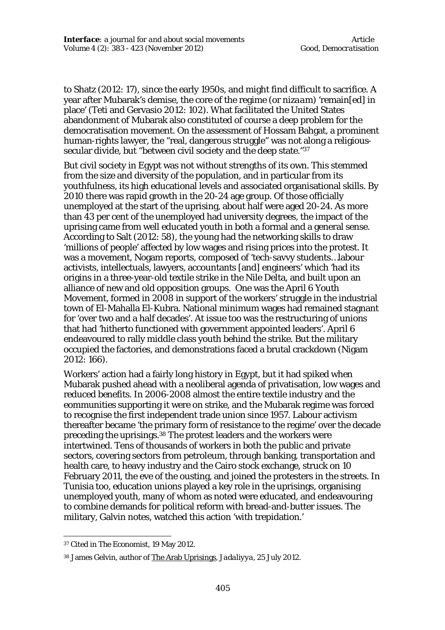to Shatz (2012: 17), since the early 1950s, and might find difficult to sacrifice. A year after Mubarak's demise, the core of the regime (or *nizaam*) 'remain[ed] in place' (Teti and Gervasio 2012: 102). What facilitated the United States abandonment of Mubarak also constituted of course a deep problem for the democratisation movement. On the assessment of Hossam Bahgat, a prominent human-rights lawyer, the "real, dangerous struggle" was not along a religioussecular divide, but "between civil society and the deep state."<sup>37</sup>

But civil society in Egypt was not without strengths of its own. This stemmed from the size and diversity of the population, and in particular from its youthfulness, its high educational levels and associated organisational skills. By 2010 there was rapid growth in the 20-24 age group. Of those officially unemployed at the start of the uprising, about half were aged 20-24. As more than 43 per cent of the unemployed had university degrees, the impact of the uprising came from well educated youth in both a formal and a general sense. According to Salt (2012: 58), the young had the networking skills to draw 'millions of people' affected by low wages and rising prices into the protest. It was a movement, Nogam reports, composed of 'tech-savvy students…labour activists, intellectuals, lawyers, accountants [and] engineers' which 'had its origins in a three-year-old textile strike in the Nile Delta, and built upon an alliance of new and old opposition groups. One was the April 6 Youth Movement, formed in 2008 in support of the workers' struggle in the industrial town of El-Mahalla El-Kubra. National minimum wages had remained stagnant for 'over two and a half decades'. At issue too was the restructuring of unions that had 'hitherto functioned with government appointed leaders'. April 6 endeavoured to rally middle class youth behind the strike. But the military occupied the factories, and demonstrations faced a brutal crackdown (Nigam 2012: 166).

Workers' action had a fairly long history in Egypt, but it had spiked when Mubarak pushed ahead with a neoliberal agenda of privatisation, low wages and reduced benefits. In 2006-2008 almost the entire textile industry and the eommunities supporting it were on strike, and the Mubarak regime was forced to recognise the first independent trade union since 1957. Labour activism thereafter became 'the primary form of resistance to the regime' over the decade preceding the uprisings.<sup>38</sup> The protest leaders and the workers were intertwined. Tens of thousands of workers in both the public and private sectors, covering sectors from petroleum, through banking, transportation and health care, to heavy industry and the Cairo stock exchange, struck on 10 February 2011, the eve of the ousting, and joined the protesters in the streets. In Tunisia too, education unions played a key role in the uprisings, organising unemployed youth, many of whom as noted were educated, and endeavouring to combine demands for political reform with bread-and-butter issues. The military, Galvin notes, watched this action 'with trepidation.'

 $\overline{a}$ <sup>37</sup> Cited in *The Economist*, 19 May 2012.

<sup>38</sup> James Gelvin, author of The Arab Uprisings, *Jadaliyya*, 25 July 2012.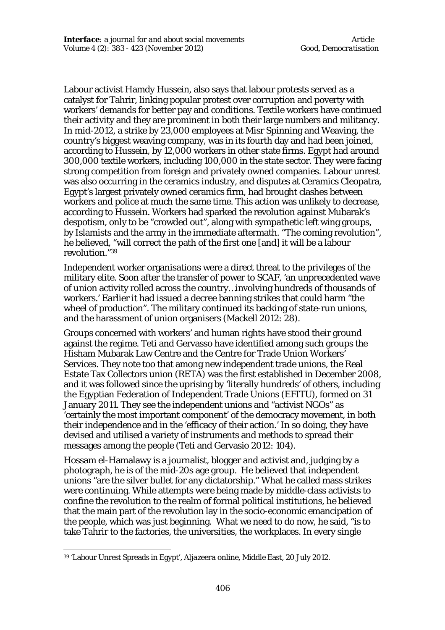Labour activist Hamdy Hussein, also says that labour protests served as a catalyst for Tahrir, linking popular protest over corruption and poverty with workers' demands for better pay and conditions. Textile workers have continued their activity and they are prominent in both their large numbers and militancy. In mid-2012, a strike by 23,000 employees at Misr Spinning and Weaving, the country's biggest weaving company, was in its fourth day and had been joined, according to Hussein, by 12,000 workers in other state firms. Egypt had around 300,000 textile workers, including 100,000 in the state sector. They were facing strong competition from foreign and privately owned companies. Labour unrest was also occurring in the ceramics industry, and disputes at Ceramics Cleopatra, Egypt's largest privately owned ceramics firm, had brought clashes between workers and police at much the same time. This action was unlikely to decrease, according to Hussein. Workers had sparked the revolution against Mubarak's despotism, only to be "crowded out", along with sympathetic left wing groups, by Islamists and the army in the immediate aftermath. "The coming revolution", he believed, "will correct the path of the first one [and] it will be a labour revolution."<sup>39</sup>

Independent worker organisations were a direct threat to the privileges of the military elite. Soon after the transfer of power to SCAF, 'an unprecedented wave of union activity rolled across the country…involving hundreds of thousands of workers.' Earlier it had issued a decree banning strikes that could harm "the wheel of production". The military continued its backing of state-run unions, and the harassment of union organisers (Mackell 2012: 28).

Groups concerned with workers' and human rights have stood their ground against the regime. Teti and Gervasso have identified among such groups the Hisham Mubarak Law Centre and the Centre for Trade Union Workers' Services. They note too that among new independent trade unions, the Real Estate Tax Collectors union (RETA) was the first established in December 2008, and it was followed since the uprising by 'literally hundreds' of others, including the Egyptian Federation of Independent Trade Unions (EFITU), formed on 31 January 2011. They see the independent unions and "activist NGOs" as 'certainly the most important component' of the democracy movement, in both their independence and in the 'efficacy of their action.' In so doing, they have devised and utilised a variety of instruments and methods to spread their messages among the people (Teti and Gervasio 2012: 104).

Hossam el-Hamalawy is a journalist, blogger and activist and, judging by a photograph, he is of the mid-20s age group. He believed that independent unions "are the silver bullet for any dictatorship." What he called mass strikes were continuing. While attempts were being made by middle-class activists to confine the revolution to the realm of formal political institutions, he believed that the main part of the revolution lay in the socio-economic emancipation of the people, which was just beginning. What we need to do now, he said, "is to take Tahrir to the factories, the universities, the workplaces. In every single

 $\overline{a}$ <sup>39</sup> 'Labour Unrest Spreads in Egypt', *Aljazeera* online, Middle East, 20 July 2012.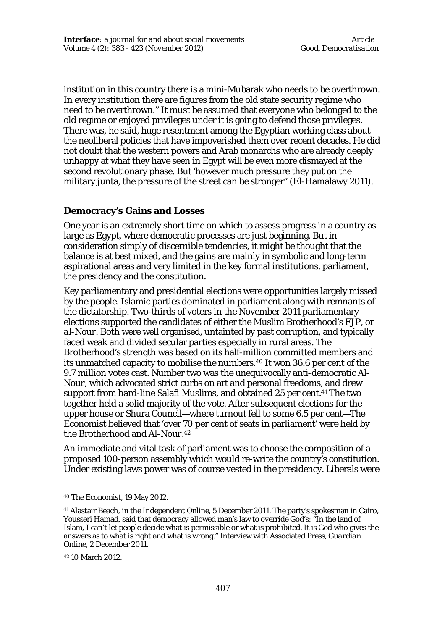institution in this country there is a mini-Mubarak who needs to be overthrown. In every institution there are figures from the old state security regime who need to be overthrown." It must be assumed that everyone who belonged to the old regime or enjoyed privileges under it is going to defend those privileges. There was, he said, huge resentment among the Egyptian working class about the neoliberal policies that have impoverished them over recent decades. He did not doubt that the western powers and Arab monarchs who are already deeply unhappy at what they have seen in Egypt will be even more dismayed at the second revolutionary phase. But 'however much pressure they put on the military junta, the pressure of the street can be stronger" (El-Hamalawy 2011).

#### **Democracy's Gains and Losses**

One year is an extremely short time on which to assess progress in a country as large as Egypt, where democratic processes are just beginning. But in consideration simply of discernible tendencies, it might be thought that the balance is at best mixed, and the gains are mainly in symbolic and long-term aspirational areas and very limited in the key formal institutions, parliament, the presidency and the constitution.

Key parliamentary and presidential elections were opportunities largely missed by the people. Islamic parties dominated in parliament along with remnants of the dictatorship. Two-thirds of voters in the November 2011 parliamentary elections supported the candidates of either the Muslim Brotherhood's FJP, or *al-Nour*. Both were well organised, untainted by past corruption, and typically faced weak and divided secular parties especially in rural areas. The Brotherhood's strength was based on its half-million committed members and its unmatched capacity to mobilise the numbers.<sup>40</sup> It won 36.6 per cent of the 9.7 million votes cast. Number two was the unequivocally anti-democratic *Al-Nour*, which advocated strict curbs on art and personal freedoms, and drew support from hard-line Salafi Muslims, and obtained 25 per cent.<sup>41</sup> The two together held a solid majority of the vote. After subsequent elections for the upper house or Shura Council—where turnout fell to some 6.5 per cent—*The Economist* believed that 'over 70 per cent of seats in parliament' were held by the Brotherhood and *Al-Nour*. 42

An immediate and vital task of parliament was to choose the composition of a proposed 100-person assembly which would re-write the country's constitution. Under existing laws power was of course vested in the presidency. Liberals were

 $\overline{a}$ 

<sup>40</sup> *The Economist*, 19 May 2012.

<sup>41</sup> Alastair Beach, in the *Independent Online*, 5 December 2011. The party's spokesman in Cairo, Yousseri Hamad, said that democracy allowed man's law to override God's: "In the land of Islam, I can't let people decide what is permissible or what is prohibited. It is God who gives the answers as to what is right and what is wrong." Interview with Associated Press, *Guardian Online*, 2 December 2011.

<sup>42</sup> 10 March 2012.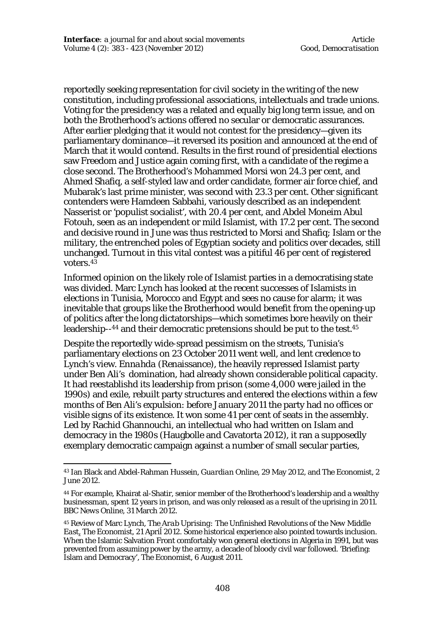reportedly seeking representation for civil society in the writing of the new constitution, including professional associations, intellectuals and trade unions. Voting for the presidency was a related and equally big long term issue, and on both the Brotherhood's actions offered no secular or democratic assurances. After earlier pledging that it would not contest for the presidency—given its parliamentary dominance—it reversed its position and announced at the end of March that it would contend. Results in the first round of presidential elections saw Freedom and Justice again coming first, with a candidate of the regime a close second. The Brotherhood's Mohammed Morsi won 24.3 per cent, and Ahmed Shafiq, a self-styled law and order candidate, former air force chief, and Mubarak's last prime minister, was second with 23.3 per cent. Other significant contenders were Hamdeen Sabbahi, variously described as an independent Nasserist or 'populist socialist', with 20.4 per cent, and Abdel Moneim Abul Fotouh, seen as an independent or mild Islamist, with 17.2 per cent. The second and decisive round in June was thus restricted to Morsi and Shafiq; Islam or the military, the entrenched poles of Egyptian society and politics over decades, still unchanged. Turnout in this vital contest was a pitiful 46 per cent of registered voters.<sup>43</sup>

Informed opinion on the likely role of Islamist parties in a democratising state was divided. Marc Lynch has looked at the recent successes of Islamists in elections in Tunisia, Morocco and Egypt and sees no cause for alarm; it was inevitable that groups like the Brotherhood would benefit from the opening-up of politics after the long dictatorships—which sometimes bore heavily on their leadership--<sup>44</sup> and their democratic pretensions should be put to the test.<sup>45</sup>

Despite the reportedly wide-spread pessimism on the streets, Tunisia's parliamentary elections on 23 October 2011 went well, and lent credence to Lynch's view. *Ennahda* (Renaissance), the heavily repressed Islamist party under Ben Ali's domination, had already shown considerable political capacity. It had reestablishd its leadership from prison (some 4,000 were jailed in the 1990s) and exile, rebuilt party structures and entered the elections within a few months of Ben Ali's expulsion: before January 2011 the party had no offices or visible signs of its existence. It won some 41 per cent of seats in the assembly. Led by Rachid Ghannouchi, an intellectual who had written on Islam and democracy in the 1980s (Haugbolle and Cavatorta 2012), it ran a supposedly exemplary democratic campaign against a number of small secular parties,

 $\overline{a}$ 

<sup>43</sup> Ian Black and Abdel-Rahman Hussein, *Guardian Online*, 29 May 2012, and *The Economist*, 2 June 2012.

<sup>44</sup> For example, Khairat al-Shatir, senior member of the Brotherhood's leadership and a wealthy businessman, spent 12 years in prison, and was only released as a result of the uprising in 2011. *BBC News Online*, 31 March 2012.

<sup>45</sup> Review of Marc Lynch, *The Arab Uprising: The Unfinished Revolutions of the New Middle East*, *The Economist*, 21 April 2012. Some historical experience also pointed towards inclusion. When the Islamic Salvation Front comfortably won general elections in Algeria in 1991, but was prevented from assuming power by the army, a decade of bloody civil war followed. 'Briefing: Islam and Democracy', *The Economist*, 6 August 2011.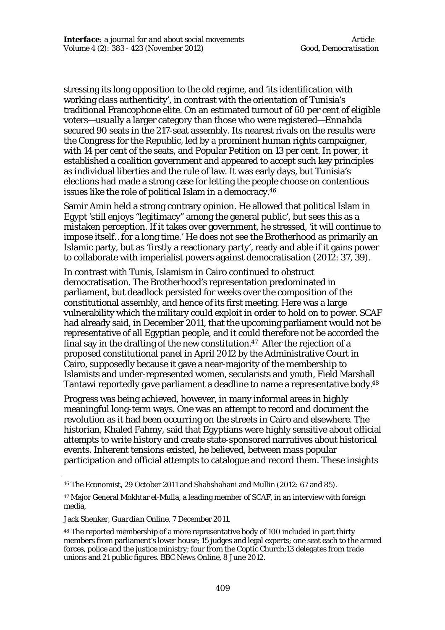stressing its long opposition to the old regime, and 'its identification with working class authenticity', in contrast with the orientation of Tunisia's traditional Francophone elite. On an estimated turnout of 60 per cent of eligible voters—usually a larger category than those who were registered—*Ennahda* secured 90 seats in the 217-seat assembly. Its nearest rivals on the results were the Congress for the Republic, led by a prominent human rights campaigner, with 14 per cent of the seats, and Popular Petition on 13 per cent. In power, it established a coalition government and appeared to accept such key principles as individual liberties and the rule of law. It was early days, but Tunisia's elections had made a strong case for letting the people choose on contentious issues like the role of political Islam in a democracy.<sup>46</sup>

Samir Amin held a strong contrary opinion. He allowed that political Islam in Egypt 'still enjoys "legitimacy" among the general public', but sees this as a mistaken perception. If it takes over government, he stressed, 'it will continue to impose itself…for a long time.' He does not see the Brotherhood as primarily an Islamic party, but as 'firstly a reactionary party', ready and able if it gains power to collaborate with imperialist powers against democratisation (2012: 37, 39).

In contrast with Tunis, Islamism in Cairo continued to obstruct democratisation. The Brotherhood's representation predominated in parliament, but deadlock persisted for weeks over the composition of the constitutional assembly, and hence of its first meeting. Here was a large vulnerability which the military could exploit in order to hold on to power. SCAF had already said, in December 2011, that the upcoming parliament would not be representative of all Egyptian people, and it could therefore not be accorded the final say in the drafting of the new constitution. $47$  After the rejection of a proposed constitutional panel in April 2012 by the Administrative Court in Cairo, supposedly because it gave a near-majority of the membership to Islamists and under-represented women, secularists and youth, Field Marshall Tantawi reportedly gave parliament a deadline to name a representative body.<sup>48</sup>

Progress was being achieved, however, in many informal areas in highly meaningful long-term ways. One was an attempt to record and document the revolution as it had been occurring on the streets in Cairo and elsewhere. The historian, Khaled Fahmy, said that Egyptians were highly sensitive about official attempts to write history and create state-sponsored narratives about historical events. Inherent tensions existed, he believed, between mass popular participation and official attempts to catalogue and record them. These insights

 $\overline{a}$ <sup>46</sup> *The Economist*, 29 October 2011 and Shahshahani and Mullin (2012: 67 and 85).

<sup>47</sup> Major General Mokhtar el-Mulla, a leading member of SCAF, in an interview with foreign media,

Jack Shenker, *Guardian Online*, 7 December 2011.

<sup>48</sup> The reported membership of a more representative body of 100 included in part thirty members from parliament's lower house; 15 judges and legal experts; one seat each to the armed forces, police and the justice ministry; four from the Coptic Church;13 delegates from trade unions and 21 public figures. *BBC News Online*, 8 June 2012.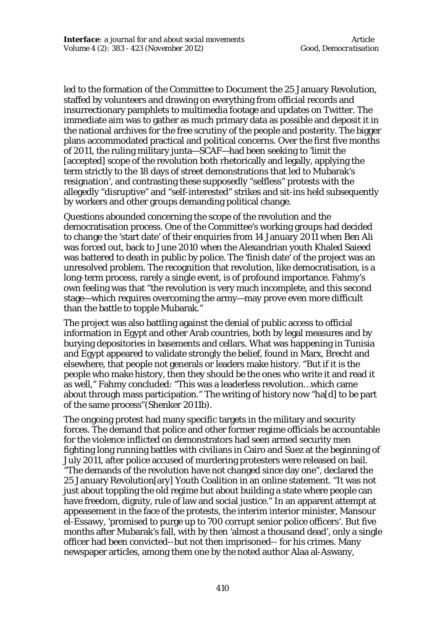led to the formation of the Committee to Document the 25 January Revolution, staffed by volunteers and drawing on everything from official records and insurrectionary pamphlets to multimedia footage and updates on Twitter. The immediate aim was to gather as much primary data as possible and deposit it in the national archives for the free scrutiny of the people and posterity. The bigger plans accommodated practical and political concerns. Over the first five months of 2011, the ruling military junta—SCAF—had been seeking to 'limit the [accepted] scope of the revolution both rhetorically and legally, applying the term strictly to the 18 days of street demonstrations that led to Mubarak's resignation', and contrasting these supposedly "selfless" protests with the allegedly "disruptive" and "self-interested" strikes and sit-ins held subsequently by workers and other groups demanding political change.

Questions abounded concerning the scope of the revolution and the democratisation process. One of the Committee's working groups had decided to change the 'start date' of their enquiries from 14 January 2011 when Ben Ali was forced out, back to June 2010 when the Alexandrian youth Khaled Saieed was battered to death in public by police. The 'finish date' of the project was an unresolved problem. The recognition that revolution, like democratisation, is a long-term process, rarely a single event, is of profound importance. Fahmy's own feeling was that "the revolution is very much incomplete, and this second stage—which requires overcoming the army—may prove even more difficult than the battle to topple Mubarak."

The project was also battling against the denial of public access to official information in Egypt and other Arab countries, both by legal measures and by burying depositories in basements and cellars. What was happening in Tunisia and Egypt appeared to validate strongly the belief, found in Marx, Brecht and elsewhere, that people not generals or leaders make history. "But if it is the people who make history, then they should be the ones who write it and read it as well," Fahmy concluded: "This was a leaderless revolution…which came about through mass participation." The writing of history now "ha[d] to be part of the same process"(Shenker 2011b).

The ongoing protest had many specific targets in the military and security forces. The demand that police and other former regime officials be accountable for the violence inflicted on demonstrators had seen armed security men fighting long running battles with civilians in Cairo and Suez at the beginning of July 2011, after police accused of murdering protesters were released on bail. "The demands of the revolution have not changed since day one", declared the 25 January Revolution[ary] Youth Coalition in an online statement. "It was not just about toppling the old regime but about building a state where people can have freedom, dignity, rule of law and social justice." In an apparent attempt at appeasement in the face of the protests, the interim interior minister, Mansour el-Essawy, 'promised to purge up to 700 corrupt senior police officers'. But five months after Mubarak's fall, with by then 'almost a thousand dead', only a single officer had been convicted--but not then imprisoned-- for his crimes. Many newspaper articles, among them one by the noted author Alaa al-Aswany,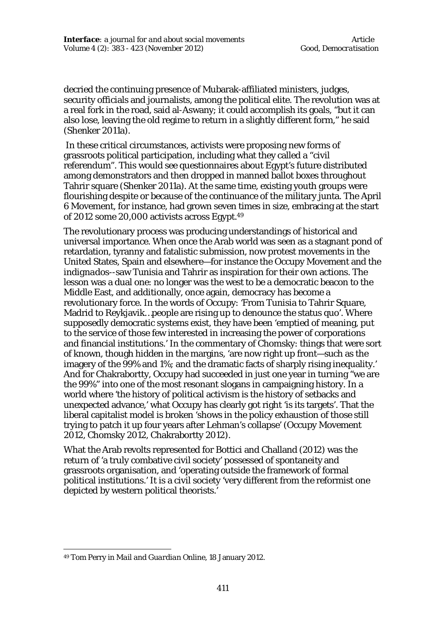decried the continuing presence of Mubarak-affiliated ministers, judges, security officials and journalists, among the political elite. The revolution was at a real fork in the road, said al-Aswany; it could accomplish its goals, "but it can also lose, leaving the old regime to return in a slightly different form," he said (Shenker 2011a).

In these critical circumstances, activists were proposing new forms of grassroots political participation, including what they called a "civil referendum". This would see questionnaires about Egypt's future distributed among demonstrators and then dropped in manned ballot boxes throughout Tahrir square (Shenker 2011a). At the same time, existing youth groups were flourishing despite or because of the continuance of the military junta. The April 6 Movement, for instance, had grown seven times in size, embracing at the start of 2012 some 20,000 activists across Egypt.<sup>49</sup>

The revolutionary process was producing understandings of historical and universal importance. When once the Arab world was seen as a stagnant pond of retardation, tyranny and fatalistic submission, now protest movements in the United States, Spain and elsewhere—for instance the Occupy Movement and the *indignados*--saw Tunisia and Tahrir as inspiration for their own actions. The lesson was a dual one: no longer was the west to be a democratic beacon to the Middle East, and additionally, once again, democracy has become a revolutionary force. In the words of Occupy: 'From Tunisia to Tahrir Square, Madrid to Reykjavik…people are rising up to denounce the status quo'. Where supposedly democratic systems exist, they have been 'emptied of meaning, put to the service of those few interested in increasing the power of corporations and financial institutions.' In the commentary of Chomsky: things that were sort of known, though hidden in the margins, 'are now right up front—such as the imagery of the 99% and 1%; and the dramatic facts of sharply rising inequality.' And for Chakrabortty, Occupy had succeeded in just one year in turning "we are the 99%" into one of the most resonant slogans in campaigning history. In a world where 'the history of political activism is the history of setbacks and unexpected advance,' what Occupy has clearly got right 'is its targets'. That the liberal capitalist model is broken 'shows in the policy exhaustion of those still trying to patch it up four years after Lehman's collapse' (Occupy Movement 2012, Chomsky 2012, Chakrabortty 2012).

What the Arab revolts represented for Bottici and Challand (2012) was the return of 'a truly combative civil society' possessed of spontaneity and grassroots organisation, and 'operating outside the framework of formal political institutions.' It is a civil society 'very different from the reformist one depicted by western political theorists.'

 $\overline{a}$ <sup>49</sup> Tom Perry in *Mail and Guardian Online*, 18 January 2012.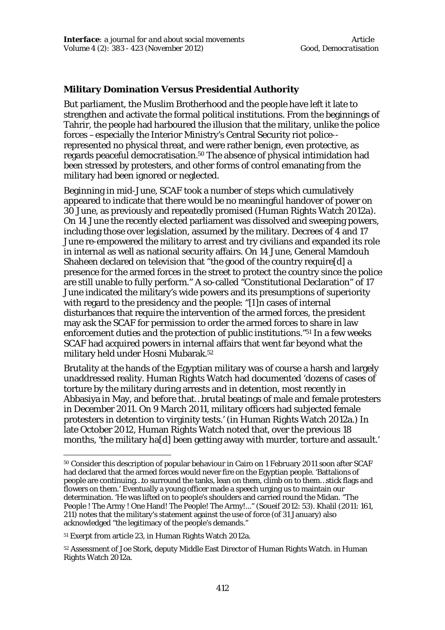## **Military Domination Versus Presidential Authority**

But parliament, the Muslim Brotherhood and the people have left it late to strengthen and activate the formal political institutions. From the beginnings of Tahrir, the people had harboured the illusion that the military, unlike the police forces –especially the Interior Ministry's Central Security riot police- represented no physical threat, and were rather benign, even protective, as regards peaceful democratisation.<sup>50</sup> The absence of physical intimidation had been stressed by protesters, and other forms of control emanating from the military had been ignored or neglected.

Beginning in mid-June, SCAF took a number of steps which cumulatively appeared to indicate that there would be no meaningful handover of power on 30 June, as previously and repeatedly promised (Human Rights Watch 2012a). On 14 June the recently elected parliament was dissolved and sweeping powers, including those over legislation, assumed by the military. Decrees of 4 and 17 June re-empowered the military to arrest and try civilians and expanded its role in internal as well as national security affairs. On 14 June, General Mamdouh Shaheen declared on television that "the good of the country require[d] a presence for the armed forces in the street to protect the country since the police are still unable to fully perform." A so-called "Constitutional Declaration" of 17 June indicated the military's wide powers and its presumptions of superiority with regard to the presidency and the people: "[I]n cases of internal disturbances that require the intervention of the armed forces, the president may ask the SCAF for permission to order the armed forces to share in law enforcement duties and the protection of public institutions."<sup>51</sup> In a few weeks SCAF had acquired powers in internal affairs that went far beyond what the military held under Hosni Mubarak.<sup>52</sup>

Brutality at the hands of the Egyptian military was of course a harsh and largely unaddressed reality. Human Rights Watch had documented 'dozens of cases of torture by the military during arrests and in detention, most recently in Abbasiya in May, and before that…brutal beatings of male and female protesters in December 2011. On 9 March 2011, military officers had subjected female protesters in detention to virginity tests.' (in Human Rights Watch 2012a.) In late October 2012, Human Rights Watch noted that, over the previous 18 months, 'the military ha[d] been getting away with murder, torture and assault.'

 $\overline{a}$ 

<sup>50</sup> Consider this description of popular behaviour in Cairo on 1 February 2011 soon after SCAF had declared that the armed forces would never fire on the Egyptian people. 'Battalions of people are continuing…to surround the tanks, lean on them, climb on to them…stick flags and flowers on them.' Eventually a young officer made a speech urging us to maintain our determination. 'He was lifted on to people's shoulders and carried round the Midan. "The People! The Army! One Hand! The People! The Army!..." (Soueif 2012: 53). Khalil (2011: 161, 211) notes that the military's statement against the use of force (of 31 January) also acknowledged "the legitimacy of the people's demands."

<sup>51</sup> Exerpt from article 23, in Human Rights Watch 2012a.

<sup>52</sup> Assessment of Joe Stork, deputy Middle East Director of Human Rights Watch. in Human Rights Watch 2012a.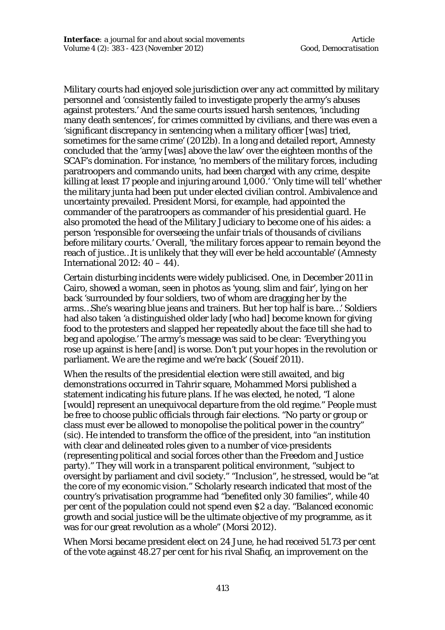Military courts had enjoyed sole jurisdiction over any act committed by military personnel and 'consistently failed to investigate properly the army's abuses against protesters.' And the same courts issued harsh sentences, 'including many death sentences', for crimes committed by civilians, and there was even a 'significant discrepancy in sentencing when a military officer [was] tried, sometimes for the same crime' (2012b). In a long and detailed report, Amnesty concluded that the 'army [was] above the law' over the eighteen months of the SCAF's domination. For instance, 'no members of the military forces, including paratroopers and commando units, had been charged with any crime, despite killing at least 17 people and injuring around 1,000.' 'Only time will tell' whether the military junta had been put under elected civilian control. Ambivalence and uncertainty prevailed. President Morsi, for example, had appointed the commander of the paratroopers as commander of his presidential guard. He also promoted the head of the Military Judiciary to become one of his aides: a person 'responsible for overseeing the unfair trials of thousands of civilians before military courts.' Overall, 'the military forces appear to remain beyond the reach of justice…It is unlikely that they will ever be held accountable' (Amnesty International 2012: 40 – 44).

Certain disturbing incidents were widely publicised. One, in December 2011 in Cairo, showed a woman, seen in photos as 'young, slim and fair', lying on her back 'surrounded by four soldiers, two of whom are dragging her by the arms…She's wearing blue jeans and trainers. But her top half is bare…' Soldiers had also taken 'a distinguished older lady [who had] become known for giving food to the protesters and slapped her repeatedly about the face till she had to beg and apologise.' The army's message was said to be clear: 'Everything you rose up against is here [and] is worse. Don't put your hopes in the revolution or parliament. We are the regime and we're back' (Soueif 2011).

When the results of the presidential election were still awaited, and big demonstrations occurred in Tahrir square, Mohammed Morsi published a statement indicating his future plans. If he was elected, he noted, "I alone [would] represent an unequivocal departure from the old regime." People must be free to choose public officials through fair elections. "No party or group or class must ever be allowed to monopolise the political power in the country" (sic). He intended to transform the office of the president, into "an institution with clear and delineated roles given to a number of vice-presidents (representing political and social forces other than the Freedom and Justice party)." They will work in a transparent political environment, "subject to oversight by parliament and civil society." "Inclusion", he stressed, would be "at the core of my economic vision." Scholarly research indicated that most of the country's privatisation programme had "benefited only 30 families", while 40 per cent of the population could not spend even \$2 a day. "Balanced economic growth and social justice will be the ultimate objective of my programme, as it was for our great revolution as a whole" (Morsi 2012).

When Morsi became president elect on 24 June, he had received 51.73 per cent of the vote against 48.27 per cent for his rival Shafiq, an improvement on the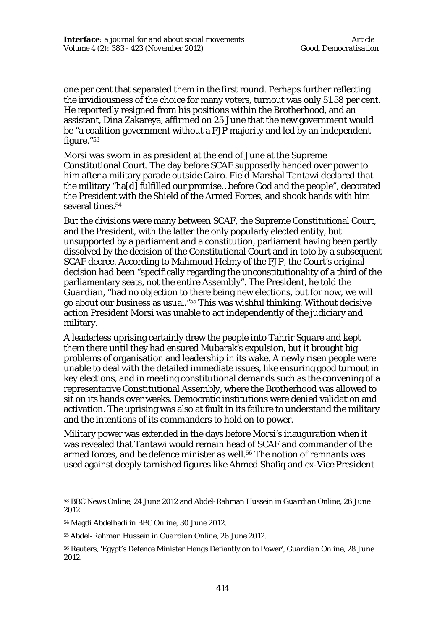one per cent that separated them in the first round. Perhaps further reflecting the invidiousness of the choice for many voters, turnout was only 51.58 per cent. He reportedly resigned from his positions within the Brotherhood, and an assistant, Dina Zakareya, affirmed on 25 June that the new government would be "a coalition government without a FJP majority and led by an independent figure."<sup>53</sup>

Morsi was sworn in as president at the end of June at the Supreme Constitutional Court. The day before SCAF supposedly handed over power to him after a military parade outside Cairo. Field Marshal Tantawi declared that the military "ha[d] fulfilled our promise…before God and the people", decorated the President with the Shield of the Armed Forces, and shook hands with him several tines.<sup>54</sup>

But the divisions were many between SCAF, the Supreme Constitutional Court, and the President, with the latter the only popularly elected entity, but unsupported by a parliament and a constitution, parliament having been partly dissolved by the decision of the Constitutional Court and *in toto* by a subsequent SCAF decree. According to Mahmoud Helmy of the FJP, the Court's original decision had been "specifically regarding the unconstitutionality of a third of the parliamentary seats, not the entire Assembly". The President, he told the *Guardian*, "had no objection to there being new elections, but for now, we will go about our business as usual."<sup>55</sup> This was wishful thinking. Without decisive action President Morsi was unable to act independently of the judiciary and military.

A leaderless uprising certainly drew the people into Tahrir Square and kept them there until they had ensured Mubarak's expulsion, but it brought big problems of organisation and leadership in its wake. A newly risen people were unable to deal with the detailed immediate issues, like ensuring good turnout in key elections, and in meeting constitutional demands such as the convening of a representative Constitutional Assembly, where the Brotherhood was allowed to sit on its hands over weeks. Democratic institutions were denied validation and activation. The uprising was also at fault in its failure to understand the military and the intentions of its commanders to hold on to power.

Military power was extended in the days before Morsi's inauguration when it was revealed that Tantawi would remain head of SCAF and commander of the armed forces, and be defence minister as well.<sup>56</sup> The notion of remnants was used against deeply tarnished figures like Ahmed Shafiq and ex-Vice President

<sup>1</sup> <sup>53</sup> *BBC News Online,* 24 June 2012 and Abdel-Rahman Hussein in *Guardian Online*, 26 June 2012.

<sup>54</sup> Magdi Abdelhadi in *BBC Online*, 30 June 2012.

<sup>55</sup> Abdel-Rahman Hussein in *Guardian Online*, 26 June 2012.

<sup>56</sup> Reuters, 'Egypt's Defence Minister Hangs Defiantly on to Power', *Guardian Online*, 28 June 2012.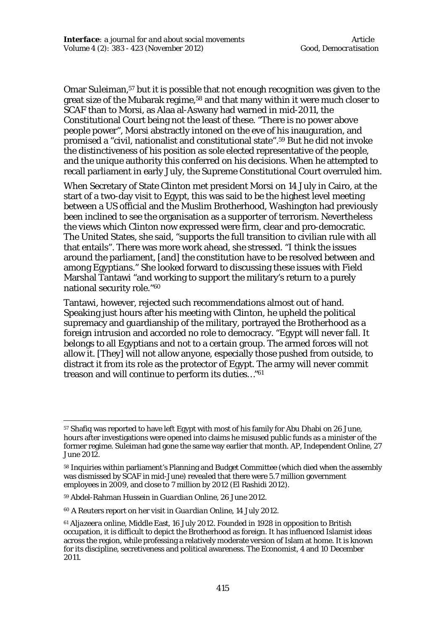Omar Suleiman,<sup>57</sup> but it is possible that not enough recognition was given to the great size of the Mubarak regime,<sup>58</sup> and that many within it were much closer to SCAF than to Morsi, as Alaa al-Aswany had warned in mid-2011, the Constitutional Court being not the least of these. "There is no power above people power", Morsi abstractly intoned on the eve of his inauguration, and promised a "civil, nationalist and constitutional state".<sup>59</sup> But he did not invoke the distinctiveness of his position as sole elected representative of the people, and the unique authority this conferred on his decisions. When he attempted to recall parliament in early July, the Supreme Constitutional Court overruled him.

When Secretary of State Clinton met president Morsi on 14 July in Cairo, at the start of a two-day visit to Egypt, this was said to be the highest level meeting between a US official and the Muslim Brotherhood, Washington had previously been inclined to see the organisation as a supporter of terrorism. Nevertheless the views which Clinton now expressed were firm, clear and pro-democratic. The United States, she said, "supports the full transition to civilian rule with all that entails". There was more work ahead, she stressed. "I think the issues around the parliament, [and] the constitution have to be resolved between and among Egyptians." She looked forward to discussing these issues with Field Marshal Tantawi "and working to support the military's return to a purely national security role."<sup>60</sup>

Tantawi, however, rejected such recommendations almost out of hand. Speaking just hours after his meeting with Clinton, he upheld the political supremacy and guardianship of the military, portrayed the Brotherhood as a foreign intrusion and accorded no role to democracy. "Egypt will never fall. It belongs to all Egyptians and not to a certain group. The armed forces will not allow it. [They] will not allow anyone, especially those pushed from outside, to distract it from its role as the protector of Egypt. The army will never commit treason and will continue to perform its duties…"<sup>61</sup>

 $\overline{a}$ 57 Shafiq was reported to have left Egypt with most of his family for Abu Dhabi on 26 June, hours after investigations were opened into claims he misused public funds as a minister of the former regime. Suleiman had gone the same way earlier that month. AP, *Independent Online*, 27 June 2012.

<sup>58</sup> Inquiries within parliament's Planning and Budget Committee (which died when the assembly was dismissed by SCAF in mid-June) revealed that there were 5.7 million government employees in 2009, and close to 7 million by 2012 (El Rashidi 2012).

<sup>59</sup> Abdel-Rahman Hussein in *Guardian Online*, 26 June 2012.

<sup>60</sup> A Reuters report on her visit in *Guardian Online*, 14 July 2012.

<sup>61</sup> *Aljazeera* online, Middle East, 16 July 2012. Founded in 1928 in opposition to British occupation, it is difficult to depict the Brotherhood as foreign. It has influenced Islamist ideas across the region, while professing a relatively moderate version of Islam at home. It is known for its discipline, secretiveness and political awareness. *The Economist*, 4 and 10 December 2011.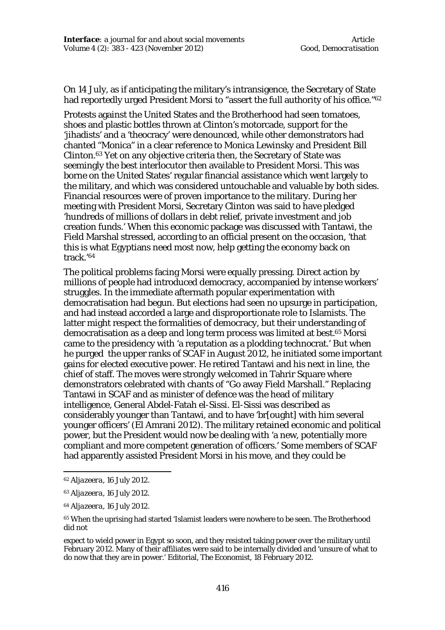On 14 July, as if anticipating the military's intransigence, the Secretary of State had reportedly urged President Morsi to "assert the full authority of his office."<sup>62</sup>

Protests against the United States and the Brotherhood had seen tomatoes, shoes and plastic bottles thrown at Clinton's motorcade, support for the 'jihadists' and a 'theocracy' were denounced, while other demonstrators had chanted "Monica" in a clear reference to Monica Lewinsky and President Bill Clinton.<sup>63</sup> Yet on any objective criteria then, the Secretary of State was seemingly the best interlocutor then available to President Morsi. This was borne on the United States' regular financial assistance which went largely to the military, and which was considered untouchable and valuable by both sides. Financial resources were of proven importance to the military. During her meeting with President Morsi, Secretary Clinton was said to have pledged 'hundreds of millions of dollars in debt relief, private investment and job creation funds.' When this economic package was discussed with Tantawi, the Field Marshal stressed, according to an official present on the occasion, 'that this is what Egyptians need most now, help getting the economy back on track.'<sup>64</sup>

The political problems facing Morsi were equally pressing. Direct action by millions of people had introduced democracy, accompanied by intense workers' struggles. In the immediate aftermath popular experimentation with democratisation had begun. But elections had seen no upsurge in participation, and had instead accorded a large and disproportionate role to Islamists. The latter might respect the formalities of democracy, but their understanding of democratisation as a deep and long term process was limited at best.<sup>65</sup> Morsi came to the presidency with 'a reputation as a plodding technocrat.' But when he purged the upper ranks of SCAF in August 2012, he initiated some important gains for elected executive power. He retired Tantawi and his next in line, the chief of staff. The moves were strongly welcomed in Tahrir Square where demonstrators celebrated with chants of "Go away Field Marshall." Replacing Tantawi in SCAF and as minister of defence was the head of military intelligence, General Abdel-Fatah el-Sissi. El-Sissi was described as considerably younger than Tantawi, and to have 'br[ought] with him several younger officers' (El Amrani 2012). The military retained economic and political power, but the President would now be dealing with 'a new, potentially more compliant and more competent generation of officers.' Some members of SCAF had apparently assisted President Morsi in his move, and they could be

 $\overline{a}$ <sup>62</sup> *Aljazeera*, 16 July 2012.

<sup>63</sup> *Aljazeera*, 16 July 2012*.*

<sup>64</sup> *Aljazeera*, 16 July 2012.

<sup>65</sup> When the uprising had started 'Islamist leaders were nowhere to be seen. The Brotherhood did not

expect to wield power in Egypt so soon, and they resisted taking power over the military until February 2012. Many of their affiliates were said to be internally divided and 'unsure of what to do now that they are in power.' Editorial, *The Economist*, 18 February 2012.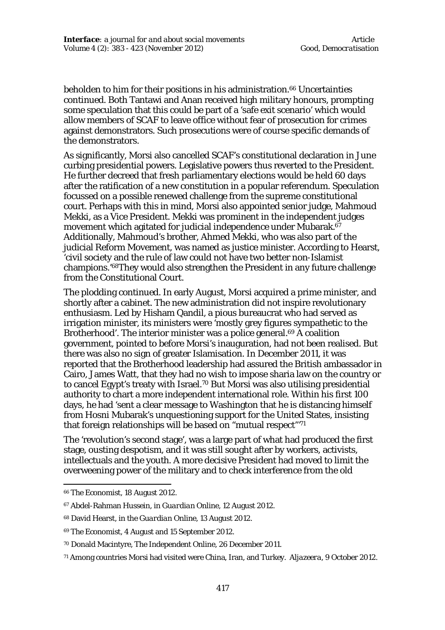beholden to him for their positions in his administration.<sup>66</sup> Uncertainties continued. Both Tantawi and Anan received high military honours, prompting some speculation that this could be part of a 'safe exit scenario' which would allow members of SCAF to leave office without fear of prosecution for crimes against demonstrators. Such prosecutions were of course specific demands of the demonstrators.

As significantly, Morsi also cancelled SCAF's constitutional declaration in June curbing presidential powers. Legislative powers thus reverted to the President. He further decreed that fresh parliamentary elections would be held 60 days after the ratification of a new constitution in a popular referendum. Speculation focussed on a possible renewed challenge from the supreme constitutional court. Perhaps with this in mind, Morsi also appointed senior judge, Mahmoud Mekki, as a Vice President. Mekki was prominent in the independent judges movement which agitated for judicial independence under Mubarak.<sup>67</sup> Additionally, Mahmoud's brother, Ahmed Mekki, who was also part of the judicial Reform Movement, was named as justice minister. According to Hearst, 'civil society and the rule of law could not have two better non-Islamist champions.'68They would also strengthen the President in any future challenge from the Constitutional Court.

The plodding continued. In early August, Morsi acquired a prime minister, and shortly after a cabinet. The new administration did not inspire revolutionary enthusiasm. Led by Hisham Qandil, a pious bureaucrat who had served as irrigation minister, its ministers were 'mostly grey figures sympathetic to the Brotherhood'. The interior minister was a police general.<sup>69</sup> A coalition government, pointed to before Morsi's inauguration, had not been realised. But there was also no sign of greater Islamisation. In December 2011, it was reported that the Brotherhood leadership had assured the British ambassador in Cairo, James Watt, that they had no wish to impose sharia law on the country or to cancel Egypt's treaty with Israel.<sup>70</sup> But Morsi was also utilising presidential authority to chart a more independent international role. Within his first 100 days, he had 'sent a clear message to Washington that he is distancing himself from Hosni Mubarak's unquestioning support for the United States, insisting that foreign relationships will be based on "mutual respect"'<sup>71</sup>

The 'revolution's second stage', was a large part of what had produced the first stage, ousting despotism, and it was still sought after by workers, activists, intellectuals and the youth. A more decisive President had moved to limit the overweening power of the military and to check interference from the old

<sup>1</sup> <sup>66</sup> *The Economist*, 18 August 2012.

<sup>67</sup> Abdel-Rahman Hussein, in *Guardian Online*, 12 August 2012.

<sup>68</sup> David Hearst, in the *Guardian Online*, 13 August 2012.

<sup>69</sup> *The Economist*, 4 August and 15 September 2012.

<sup>70</sup> Donald Macintyre, *The Independent Online,* 26 December 2011.

<sup>71</sup> Among countries Morsi had visited were China, Iran, and Turkey. *Aljazeera*, 9 October 2012.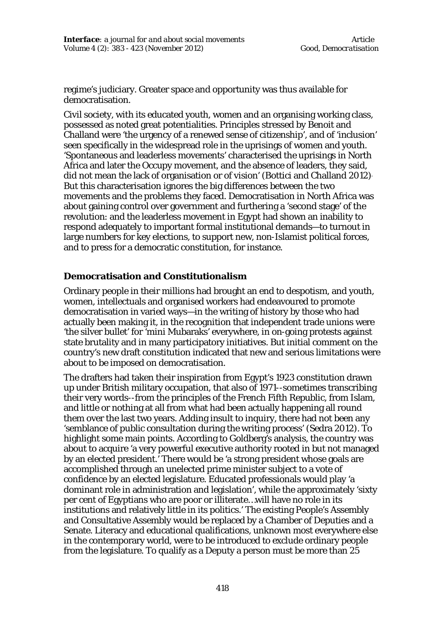regime's judiciary. Greater space and opportunity was thus available for democratisation.

Civil society, with its educated youth, women and an organising working class, possessed as noted great potentialities. Principles stressed by Benoit and Challand were 'the urgency of a renewed sense of citizenship', and of 'inclusion' seen specifically in the widespread role in the uprisings of women and youth. 'Spontaneous and leaderless movements' characterised the uprisings in North Africa and later the Occupy movement, and the absence of leaders, they said, did not mean the lack of organisation or of vision' (Bottici and Challand 2012). But this characterisation ignores the big differences between the two movements and the problems they faced. Democratisation in North Africa was about gaining control over government and furthering a 'second stage' of the revolution: and the leaderless movement in Egypt had shown an inability to respond adequately to important formal institutional demands—to turnout in large numbers for key elections, to support new, non-Islamist political forces, and to press for a democratic constitution, for instance.

## **Democratisation and Constitutionalism**

Ordinary people in their millions had brought an end to despotism, and youth, women, intellectuals and organised workers had endeavoured to promote democratisation in varied ways—in the writing of history by those who had actually been making it, in the recognition that independent trade unions were 'the silver bullet' for 'mini Mubaraks' everywhere, in on-going protests against state brutality and in many participatory initiatives. But initial comment on the country's new draft constitution indicated that new and serious limitations were about to be imposed on democratisation.

The drafters had taken their inspiration from Egypt's 1923 constitution drawn up under British military occupation, that also of 1971--sometimes transcribing their very words--from the principles of the French Fifth Republic, from Islam, and little or nothing at all from what had been actually happening all round them over the last two years. Adding insult to inquiry, there had not been any 'semblance of public consultation during the writing process' (Sedra 2012). To highlight some main points. According to Goldberg's analysis, the country was about to acquire 'a very powerful executive authority rooted in but not managed by an elected president.' There would be 'a strong president whose goals are accomplished through an unelected prime minister subject to a vote of confidence by an elected legislature. Educated professionals would play 'a dominant role in administration and legislation', while the approximately 'sixty per cent of Egyptians who are poor or illiterate…will have no role in its institutions and relatively little in its politics.' The existing People's Assembly and Consultative Assembly would be replaced by a Chamber of Deputies and a Senate. Literacy and educational qualifications, unknown most everywhere else in the contemporary world, were to be introduced to exclude ordinary people from the legislature. To qualify as a Deputy a person must be more than 25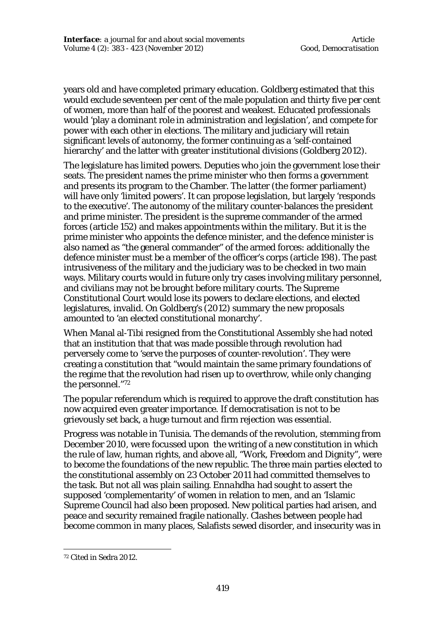years old and have completed primary education. Goldberg estimated that this would exclude seventeen per cent of the male population and thirty five per cent of women, more than half of the poorest and weakest. Educated professionals would 'play a dominant role in administration and legislation', and compete for power with each other in elections. The military and judiciary will retain significant levels of autonomy, the former continuing as a 'self-contained hierarchy' and the latter with greater institutional divisions (Goldberg 2012).

The legislature has limited powers. Deputies who join the government lose their seats. The president names the prime minister who then forms a government and presents its program to the Chamber. The latter (the former parliament) will have only 'limited powers'. It can propose legislation, but largely 'responds to the executive'. The autonomy of the military counter-balances the president and prime minister. The president is the supreme commander of the armed forces (article 152) and makes appointments within the military. But it is the prime minister who appoints the defence minister, and the defence minister is also named as "the general commander" of the armed forces: additionally the defence minister must be a member of the officer's corps (article 198). The past intrusiveness of the military and the judiciary was to be checked in two main ways. Military courts would in future only try cases involving military personnel, and civilians may not be brought before military courts. The Supreme Constitutional Court would lose its powers to declare elections, and elected legislatures, invalid. On Goldberg's (2012) summary the new proposals amounted to 'an elected constitutional monarchy'.

When Manal al-Tibi resigned from the Constitutional Assembly she had noted that an institution that that was made possible through revolution had perversely come to 'serve the purposes of counter-revolution'. They were creating a constitution that "would maintain the same primary foundations of the regime that the revolution had risen up to overthrow, while only changing the personnel."<sup>72</sup>

The popular referendum which is required to approve the draft constitution has now acquired even greater importance. If democratisation is not to be grievously set back, a huge turnout and firm rejection was essential.

Progress was notable in Tunisia. The demands of the revolution, stemming from December 2010, were focussed upon the writing of a new constitution in which the rule of law, human rights, and above all, "Work, Freedom and Dignity", were to become the foundations of the new republic. The three main parties elected to the constitutional assembly on 23 October 2011 had committed themselves to the task. But not all was plain sailing. *Ennahdha* had sought to assert the supposed 'complementarity' of women in relation to men, and an 'Islamic Supreme Council had also been proposed. New political parties had arisen, and peace and security remained fragile nationally. Clashes between people had become common in many places, Salafists sewed disorder, and insecurity was in

 $\overline{a}$ <sup>72</sup> Cited in Sedra 2012.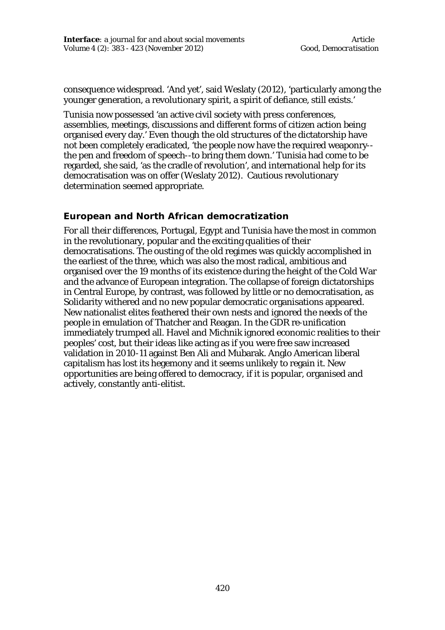consequence widespread. 'And yet', said Weslaty (2012), 'particularly among the younger generation, a revolutionary spirit, a spirit of defiance, still exists.'

Tunisia now possessed 'an active civil society with press conferences, assemblies, meetings, discussions and different forms of citizen action being organised every day.' Even though the old structures of the dictatorship have not been completely eradicated, 'the people now have the required weaponry- the pen and freedom of speech--to bring them down.' Tunisia had come to be regarded, she said, 'as the cradle of revolution', and international help for its democratisation was on offer (Weslaty 2012). Cautious revolutionary determination seemed appropriate.

## **European and North African democratization**

For all their differences, Portugal, Egypt and Tunisia have the most in common in the revolutionary, popular and the exciting qualities of their democratisations. The ousting of the old regimes was quickly accomplished in the earliest of the three, which was also the most radical, ambitious and organised over the 19 months of its existence during the height of the Cold War and the advance of European integration. The collapse of foreign dictatorships in Central Europe, by contrast, was followed by little or no democratisation, as Solidarity withered and no new popular democratic organisations appeared. New nationalist elites feathered their own nests and ignored the needs of the people in emulation of Thatcher and Reagan. In the GDR re-unification immediately trumped all. Havel and Michnik ignored economic realities to their peoples' cost, but their ideas like acting as if you were free saw increased validation in 2010-11 against Ben Ali and Mubarak. Anglo American liberal capitalism has lost its hegemony and it seems unlikely to regain it. New opportunities are being offered to democracy, if it is popular, organised and actively, constantly anti-elitist.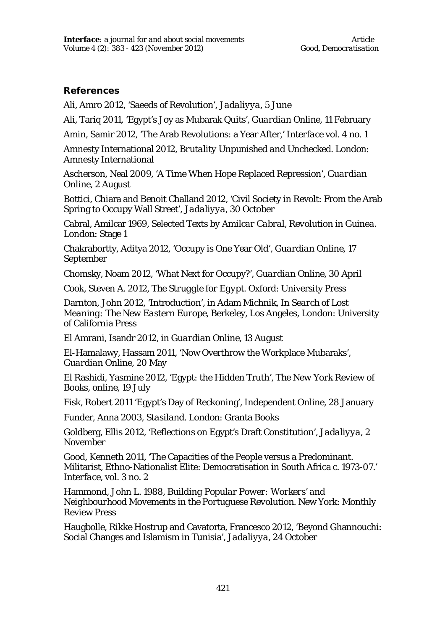#### **References**

Ali, Amro 2012, 'Saeeds of Revolution', *Jadaliyya*, 5 June

Ali, Tariq 2011, 'Egypt's Joy as Mubarak Quits', *Guardian Online*, 11 February

Amin, Samir 2012, 'The Arab Revolutions: a Year After,' *Interface* vol. 4 no. 1

Amnesty International 2012, *Brutality Unpunished and Unchecked*. London: Amnesty International

Ascherson, Neal 2009, 'A Time When Hope Replaced Repression', *Guardian Online*, 2 August

Bottici, Chiara and Benoit Challand 2012, 'Civil Society in Revolt: From the Arab Spring to Occupy Wall Street', *Jadaliyya*, 30 October

Cabral, Amilcar 1969, *Selected Texts by Amilcar Cabral, Revolution in Guinea*. London: Stage 1

Chakrabortty, Aditya 2012, 'Occupy is One Year Old', *Guardian Online*, 17 September

Chomsky, Noam 2012, 'What Next for Occupy?', *Guardian Online*, 30 April

Cook, Steven A. 2012, *The Struggle for Egypt*. Oxford: University Press

Darnton, John 2012, 'Introduction', in Adam Michnik, *In Search of Lost Meaning: The New Eastern Europe*, Berkeley, Los Angeles, London: University of California Press

El Amrani, Isandr 2012, in *Guardian Online*, 13 August

El-Hamalawy, Hassam 2011, 'Now Overthrow the Workplace Mubaraks', *Guardian Online*, 20 May

El Rashidi, Yasmine 2012, 'Egypt: the Hidden Truth', *The New York Review of Books*, online, 19 July

Fisk, Robert 2011 'Egypt's Day of Reckoning', *Independent Online*, 28 January

Funder, Anna 2003, *Stasiland*. London: Granta Books

Goldberg, Ellis 2012, 'Reflections on Egypt's Draft Constitution', *Jadaliyya*, 2 November

Good, Kenneth 2011, 'The Capacities of the People versus a Predominant. Militarist, Ethno-Nationalist Elite: Democratisation in South Africa c. 1973-07.' *Interface*, vol. 3 no. 2

Hammond, John L. 1988, *Building Popular Power: Workers' and Neighbourhood Movements in the Portuguese Revolution*. New York: Monthly Review Press

Haugbolle, Rikke Hostrup and Cavatorta, Francesco 2012, 'Beyond Ghannouchi: Social Changes and Islamism in Tunisia', *Jadaliyya*, 24 October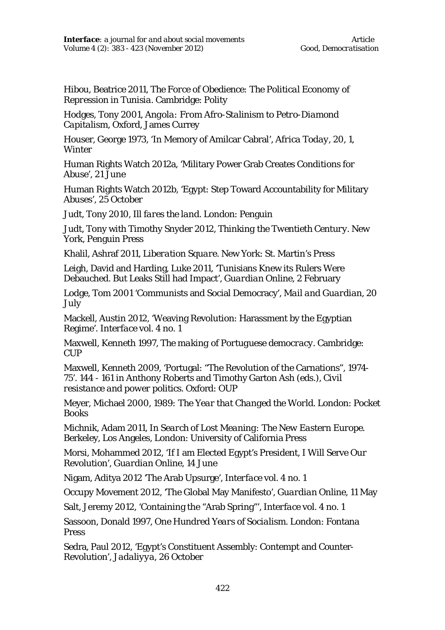Hibou, Beatrice 2011, *The Force of Obedience: The Political Economy of Repression in Tunisia*. Cambridge: Polity

Hodges, Tony 2001, *Angola: From Afro-Stalinism to Petro-Diamond Capitalism*, Oxford, James Currey

Houser, George 1973, 'In Memory of Amilcar Cabral', *Africa Today*, 20, 1, Winter

Human Rights Watch 2012a, 'Military Power Grab Creates Conditions for Abuse', 21 June

Human Rights Watch 2012b, 'Egypt: Step Toward Accountability for Military Abuses', 25 October

Judt, Tony 2010, *Ill fares the land*. London: Penguin

Judt, Tony with Timothy Snyder 2012, *Thinking the Twentieth Century*. New York, Penguin Press

Khalil, Ashraf 2011, *Liberation Square*. New York: St. Martin's Press

Leigh, David and Harding, Luke 2011, 'Tunisians Knew its Rulers Were Debauched. But Leaks Still had Impact', *Guardian Online*, 2 February

Lodge, Tom 2001 'Communists and Social Democracy', *Mail and Guardian*, 20 July

Mackell, Austin 2012, 'Weaving Revolution: Harassment by the Egyptian Regime'. *Interface* vol. 4 no. 1

Maxwell, Kenneth 1997, *The making of Portuguese democracy*. Cambridge: CUP<sub></sub>

Maxwell, Kenneth 2009, 'Portugal: "The Revolution of the Carnations", 1974- 75'. 144 - 161 in Anthony Roberts and Timothy Garton Ash (eds.), *Civil resistance and power politics*. Oxford: OUP

Meyer, Michael 2000, *1989: The Year that Changed the World*. London: Pocket Books

Michnik, Adam 2011, *In Search of Lost Meaning: The New Eastern Europe*. Berkeley, Los Angeles, London: University of California Press

Morsi, Mohammed 2012, 'If I am Elected Egypt's President, I Will Serve Our Revolution', *Guardian Online*, 14 June

Nigam, Aditya 2012 'The Arab Upsurge', *Interface* vol. 4 no. 1

Occupy Movement 2012, 'The Global May Manifesto', *Guardian Online*, 11 May

Salt, Jeremy 2012, 'Containing the "Arab Spring"', *Interface* vol. 4 no. 1

Sassoon, Donald 1997, *One Hundred Years of Socialism*. London: Fontana Press

Sedra, Paul 2012, 'Egypt's Constituent Assembly: Contempt and Counter-Revolution', *Jadaliyya*, 26 October